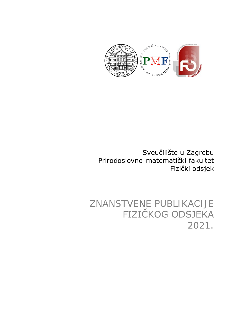

## Sveučilište u Zagrebu Prirodoslovno-matematički fakultet Fizički odsjek

## ZNANSTVENE PUBLIKACIJE FIZIČKOG ODSJEKA 2021.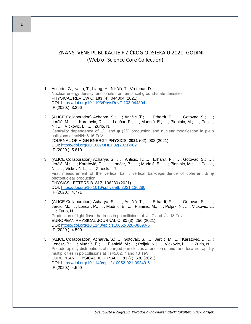## ZNANSTVENE PUBLIKACIJE FIZIČKOG ODSJEKA U 2021. GODINI (Web of Science Core Collection)

\_\_\_\_\_\_\_\_\_\_\_\_\_\_\_\_\_\_\_\_\_\_\_\_\_\_\_\_\_\_\_\_\_\_\_\_\_\_\_\_\_\_\_\_\_\_\_\_\_\_\_\_\_\_\_\_

- 1. Accorto, G.; Naito, T.; Liang, H.; Nikšić, T.; Vretenar, D. Nuclear energy density functionals from empirical ground-state densities PHYSICAL REVIEW C. **103** (4), 044304 (2021) DOI:<https://doi.org/10.1103/PhysRevC.103.044304> IF (2020.): 3.296
- 2. (ALICE Collaboration) Acharya, S.; ... ; Antičić, T.; ... ; Erhardt, F.; … ; Gotovac, S.; … ; Jerčić, M.; ... ; Karatović, D.; … ; Lončar, P.; ... ; Mudnić, E.; ... ; Planinić, M.; ... ; Poljak, N.; ... ; Vicković, L.; ... ; Zurlo, N. Centrality dependence of J/ψ and ψ (2S) production and nuclear modification in p-Pb collisions at √sNN=8.16 TeV JOURNAL OF HIGH ENERGY PHYSICS. **2021** (02), 002 (2021) DOI: [https://doi.org/10.1007/JHEP02\(2021\)002](https://doi.org/10.1007/JHEP02(2021)002) IF (2020.): 5.810
- 3. (ALICE Collaboration) Acharya, S.; … ; Antičić, T.; ... ; Erhardt, F.; … ; Gotovac, S.; … ; Jerčić, M.; … ; Karatović, D.; … ; Lončar, P.; … ; Mudnić, E.; … ; Planinić, M.; … ; Poljak, N.; … ; Vicković, L.; … ; Zmeskal, J. First measurement of the vertical bar t vertical bar-dependence of coherent J/ ψ photonuclear production PHYSICS LETTERS B. **817**, 136280 (2021) DOI:<https://doi.org/10.1016/j.physletb.2021.136280> IF (2020.): 4.771
- 4. (ALICE Collaboration) Acharya, S.; ... ; Antičić, T.; ... ; Erhardt, F.; … ; Gotovac, S.; … ; Jerčić, M.; ... ; Lončar, P.; ... ; Mudnić, E.; ... ; Planinić, M.; ... ; Poljak, N.; ... ; Vicković, L.; ... ; Zurlo, N. Production of light-flavor hadrons in pp collisions at  $\sqrt{s}$ =7 and  $\sqrt{s}$ =13 Tev EUROPEAN PHYSICAL JOURNAL C. **81** (3), 256 (2021) DOI:<https://doi.org/10.1140/epjc/s10052-020-08690-5> IF (2020.): 4.590
- 5. (ALICE Collaboration) Acharya, S.; ... ; Gotovac, S.; ... ; Jerčić, M.; ... ; Karatović, D.; ... ; Lončar, P.; ... ; Mudnić, E.; ... ; Planinić, M.; ... ; Poljak, N.; ... ; Vicković, L.; ... ; Zurlo, N. Pseudorapidity distributions of charged particles as a function of mid- and forward rapidity multiplicities in pp collisions at √s=5.02, 7 and 13 TeV EUROPEAN PHYSICAL JOURNAL C. **81** (7), 630 (2021) DOI:<https://doi.org/10.1140/epjc/s10052-021-09349-5> IF (2020.): 4.590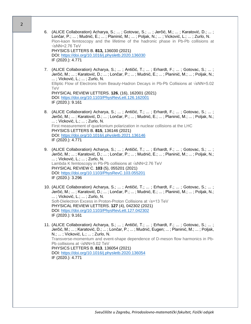| 6. | (ALICE Collaboration) Acharya, S.; ; Gotovac, S.; ; Jerčić, M.; ; Karatović, D.; ;<br>Lončar, P.; ; Mudnić, E.; ; Planinić, M.; ; Poljak, N.; ; Vicković, L.; ; Zurlo, N.<br>Pion-kaon femtoscopy and the lifetime of the hadronic phase in Pb-Pb collisions at<br>$\sqrt{\text{sNN}}$ = 2.76 TeV<br>PHYSICS LETTERS B. 813, 136030 (2021)<br>DOI: https://doi.org/10.1016/j.physletb.2020.136030<br>IF (2020.): 4.771                                               |
|----|----------------------------------------------------------------------------------------------------------------------------------------------------------------------------------------------------------------------------------------------------------------------------------------------------------------------------------------------------------------------------------------------------------------------------------------------------------------------|
| 7. | (ALICE Collaboration) Acharya, S.; ; Antičić, T.; ; Erhardt, F.; ; Gotovac, S.; ;<br>Jerčić, M.; ; Karatović, D.; ; Lončar, P.; ; Mudnić, E.; ; Planinić, M.; ; Poljak, N.;<br>; Vicković, L.; ; Zurlo, N.<br>Elliptic Flow of Electrons from Beauty-Hadron Decays in Pb-Pb Collisions at $\sqrt{sNN}$ =5.02<br>TeV<br>PHYSICAL REVIEW LETTERS. 126, (16), 162001 (2021)<br>DOI: https://doi.org/10.1103/PhysRevLett.126.162001<br>IF (2020.): 9.161                 |
| 8. | (ALICE Collaboration) Acharya, S.; ; Antičić, T.; ; Erhardt, F.; ; Gotovac, S.; ;<br>Jerčić, M.; ; Karatović, D.; ; Lončar, P.; ; Mudnić, E.; ; Planinić, M.; ; Poljak, N.;<br>; Vicković, L.; ; Zurlo, N.<br>First measurement of quarkonium polarization in nuclear collisions at the LHC<br>PHYSICS LETTERS B. 815, 136146 (2021)<br>DOI: https://doi.org/10.1016/j.physletb.2021.136146<br>IF (2020.): 4.771                                                     |
| 9. | (ALICE Collaboration) Acharya, S.; ; Antičić, T.; ; Erhardt, F.; ; Gotovac, S.; ;<br>Jerčić, M.; ; Karatović, D.; ; Lončar, P.; ; Mudnić, E.; ; Planinić, M.; ; Poljak, N.;<br>; Vicković, L.; ; Zurlo, N.<br>Lambda K femtoscopy in Pb-Pb collisions at $\sqrt{sNN}$ =2.76 TeV<br>PHYSICAL REVIEW C. 103 (5), 055201 (2021)<br>DOI: https://doi.org/10.1103/PhysRevC.103.055201<br>IF (2020.): 3.296                                                                |
|    | 10. (ALICE Collaboration) Acharya, S.; ; Antičić, T.; ; Erhardt, F.; ; Gotovac, S.; ;<br>Jerčić, M.; ; Karatović, D.; ; Lončar, P.; ; Mudnić, E.; ; Planinić, M.; ; Poljak, N.;<br>; Vicković, L.; ; Zurlo, N.<br>Soft-Dielectron Excess in Proton-Proton Collisions at √s=13 TeV<br>PHYSICAL REVIEW LETTERS. 127 (4), 042302 (2021)<br>DOI: https://doi.org/10.1103/PhysRevLett.127.042302<br>IF (2020.): 9.161                                                     |
|    | 11. (ALICE Collaboration) Acharya, S.; ; Antičić, T.; ; Erhardt, F.; ; Gotovac, S.; ;<br>Jerčić, M.; ; Karatović, D.; ; Lončar, P.; ; Mudnić, Eugen; ; Planinić, M.; ; Poljak,<br>N.; ; Vicković, L.; ; Zurlo, N.<br>Transverse-momentum and event-shape dependence of D-meson flow harmonics in Pb-<br>Pb collisions at $\sqrt{sNN}$ =5.02 TeV<br>PHYSICS LETTERS B. 813, 136054 (2021)<br>DOI: https://doi.org/10.1016/j.physletb.2020.136054<br>IF (2020.): 4.771 |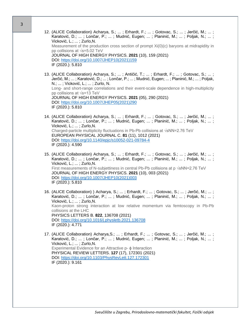Vicković, L.; ... ; Zurlo,N.

IF (2020.): 5.810

pp collisions at √s=5.02 TeV

| Sveučilište u Zagrebu, Prirodoslovno-matematički fakultet, Fizički odsjek                                                                                                                                                                                                                                                                                                                                                                                                 |
|---------------------------------------------------------------------------------------------------------------------------------------------------------------------------------------------------------------------------------------------------------------------------------------------------------------------------------------------------------------------------------------------------------------------------------------------------------------------------|
|                                                                                                                                                                                                                                                                                                                                                                                                                                                                           |
| 17. (ALICE Collaboration) Acharya, S.; ; Erhardt, F.; ; Gotovac, S.; ; Jerčić, M.; ;<br>Karatović, D.; ; Lončar, P.; ; Mudnić, Eugen; ; Planinić, M.; ; Poljak, N.; ;<br>Vicković, L.; ; Zurlo, N.<br>Experimental Evidence for an Attractive p- $\phi$ Interaction<br>PHYSICAL REVIEW LETTERS. 127 (17), 172301 (2021)<br>DOI: https://doi.org/10.1103/PhysRevLett.127.172301<br>IF (2020.): 9.161                                                                       |
| 16. (ALICE Collaboration) ) Acharya, S.;  ; Erhardt, F.;  ; Gotovac, S.;  ; Jerčić, M.;  ;<br>Karatović, D.; ; Lončar, P.; ; Mudnić, Eugen; ; Planinić, M.; ; Poljak, N.; ;<br>Vicković, L.; ; Zurlo, N.<br>Kaon-proton strong interaction at low relative momentum via femtoscopy in Pb-Pb<br>collisions at the LHC<br>PHYSICS LETTERS B. 822, 136708 (2021)<br>DOI: https://doi.org/10.1016/j.physletb.2021.136708<br>IF (2020.): 4.771                                 |
| 15. (ALICE Collaboration) Acharya, S.; ; Erhardt, F.; ; Gotovac, S.; ; Jerčić, M.; ;<br>Karatović, D.; ; Lončar, P.; ; Mudnić, Eugen; ; Planinić, M.; ; Poljak, N.; ;<br>Vicković, L.; ; Zurlo, N.<br>First measurements of N-subjettiness in central Pb-Pb collisions at $p \sqrt{sNN} = 2.76 \text{ TeV}$<br>JOURNAL OF HIGH ENERGY PHYSICS. 2021 (10), 003 (2021)<br>DOI: https://doi.org/10.1007/JHEP10(2021)003<br>IF (2020.): 5.810                                 |
| 14. (ALICE Collaboration) Acharya, S.; ; Erhardt, F.; ; Gotovac, S.; ; Jerčić, M.; ;<br>Karatović, D.; ; Lončar, P.; ; Mudnić, Eugen; ; Planinić, M.; ; Poljak, N.; ;<br>Vicković, L.; ; Zurlo, N.<br>Charged-particle multiplicity fluctuations in Pb-Pb collisions at √sNN=2.76 TeV<br>EUROPEAN PHYSICAL JOURNAL C. 81 (11), 1012 (2021)<br>DOI: https://doi.org/10.1140/epjc/s10052-021-09784-4<br>IF (2020.): 4.590                                                   |
| 13. (ALICE Collaboration) Acharya, S.; ; Antičić, T.; ; Erhardt, F.; ; Gotovac, S.; ;<br>Jerčić, M.; ; Karatović, D.; ; Lončar, P.; ; Mudnić, Eugen; ; Planinić, M.; ; Poljak,<br>N.; ; Vicković, L.; ; Zurlo, N.<br>Long- and short-range correlations and their event-scale dependence in high-multiplicity<br>pp collisions at √s=13 TeV<br>JOURNAL OF HIGH ENERGY PHYSICS. 2021 (05), 290 (2021)<br>DOI: https://doi.org/10.1007/JHEP05(2021)290<br>IF (2020.): 5.810 |

12. (ALICE Collaboration) Acharya, S.; ... ; Erhardt, F.; ... ; Gotovac, S.; ... ; Jerčić, M.; ... ; Karatović, D.; ... ; Lončar, P.; ... ; Mudnić, Eugen; ... ; Planinić, M.; ... ; Poljak, N.; ... ;

JOURNAL OF HIGH ENERGY PHYSICS. **2021** (10), 159 (2021)

DOI: [https://doi.org/10.1007/JHEP10\(2021\)159](https://doi.org/10.1007/JHEP10(2021)159)

Measurement of the production cross section of prompt Xi(0)(c) baryons at midrapidity in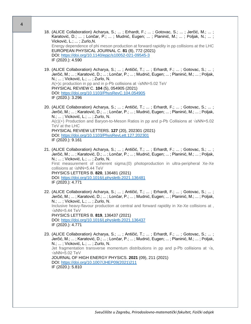18. (ALICE Collaboration) Acharya, S.; ... ; Erhardt, F.; ... ; Gotovac, S.; ... ; Jerčić, M.; ... ; Karatović, D.; ... ; Lončar, P.; ... ; Mudnić, Eugen; ... ; Planinić, M.; ... ; Poljak, N.; ... ; Vicković, L.; ... ; Zurlo,N. Energy dependence of phi meson production at forward rapidity in pp collisions at the LHC EUROPEAN PHYSICAL JOURNAL C. **81** (8), 772 (2021) DOI:<https://doi.org/10.1140/epjc/s10052-021-09545-3> IF (2020.): 4.590

- 19. (ALICE Collaboration) Acharya, S.; ... ; Antičić, T.; ... ; Erhardt, F.; ... ; Gotovac, S.; ... ; Jerčić, M.; ... ; Karatović, D.; ... ; Lončar, P.; ... ; Mudnić, Eugen; ... ; Planinić, M.; ... ; Poljak, N.; ... ; Vicković, L.; ... ; Zurlo, N. A(+)c production in pp and in p-Pb collisions at  $\sqrt{sNN}$ =5.02 TeV PHYSICAL REVIEW C. **104** (5), 054905 (2021) DOI:<https://doi.org/10.1103/PhysRevC.104.054905> IF (2020.): 3.296
- 20. (ALICE Collaboration) Acharya, S.; ... ; Antičić, T.; ... ; Erhardt, F.; ... ; Gotovac, S.; ... ; Jerčić, M.; ... ; Karatović, D.; ... ; Lončar, P.; ... ; Mudnić, Eugen; ... ; Planinić, M.; ... ; Poljak, N.; ... ; Vicković, L.; ... ; Zurlo, N. A(c)(+) Production and Baryon-to-Meson Ratios in pp and p-Pb Collisions at √sNN=5.02 TeV at the LHC PHYSICAL REVIEW LETTERS. **127** (20), 202301 (2021) DOI:<https://doi.org/10.1103/PhysRevLett.127.202301> IF (2020.): 9.161
- 21. (ALICE Collaboration) Acharya, S.; ... ; Antičić, T.; ... ; Erhardt, F.; ... ; Gotovac, S.; ... ; Jerčić, M.; ... ; Karatović, D.; ... ; Lončar, P.; ... ; Mudnić, Eugen; ... ; Planinić, M.; ... ; Poljak, N.; ... ; Vicković, L.; ... ; Zurlo, N. First measurement of coherent sigma;(0) photoproduction in ultra-peripheral Xe-Xe collisions at √sNN=5.44 TeV PHYSICS LETTERS B. **820**, 136481 (2021) DOI:<https://doi.org/10.1016/j.physletb.2021.136481> IF (2020.): 4.771
- 22. (ALICE Collaboration) Acharya, S.; ... ; Antičić, T.; ... ; Erhardt, F.; ... ; Gotovac, S.; ... ; Jerčić, M.; ... ; Karatović, D.; ... ; Lončar, P.; ... ; Mudnić, Eugen; ... ; Planinić, M.; ... ; Poljak, N.; ... ; Vicković, L.; ... ; Zurlo, N. Inclusive heavy-flavour production at central and forward rapidity in Xe-Xe collisions at , √sNN=5.44 TeV PHYSICS LETTERS B. **819**, 136437 (2021) DOI:<https://doi.org/10.1016/j.physletb.2021.136437> IF (2020.): 4.771
- 23. (ALICE Collaboration) Acharya, S.; ... ; Antičić, T.; ... ; Erhardt, F.; ... ; Gotovac, S.; ... ; Jerčić, M.; ... ; Karatović, D.; ... ; Lončar, P.; ... ; Mudnić, Eugen; ... ; Planinić, M.; ... ; Poljak, N.; ... ; Vicković, L.; ... ; Zurlo, N. Jet fragmentation transverse momentum distributions in pp and p-Pb collisions at  $\sqrt{s}$ , √sNN=5.02 TeV JOURNAL OF HIGH ENERGY PHYSICS. **2021** (09), 211 (2021) DOI: [https://doi.org/10.1007/JHEP09\(2021\)211](https://doi.org/10.1007/JHEP09(2021)211) IF (2020.): 5.810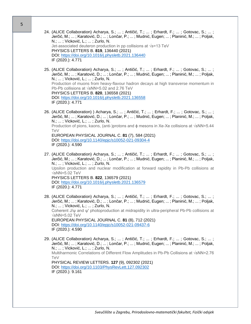24. (ALICE Collaboration) Acharya, S.; ... ; Antičić, T.; ... ; Erhardt, F.; ... ; Gotovac, S.; ... ; Jerčić, M.; ... ; Karatović, D.; ... ; Lončar, P.; ... ; Mudnić, Eugen; ... ; Planinić, M.; ... ; Poljak, N.; ... ; Vicković, L.; ... ; Zurlo, N. Jet-associated deuteron production in pp collisions at √s=13 TeV PHYSICS LETTERS B. **819**, 136440 (2021) DOI:<https://doi.org/10.1016/j.physletb.2021.136440> IF (2020.): 4.771 25. (ALICE Collaboration) Acharya, S.; ... ; Antičić, T.; ... ; Erhardt, F.; ... ; Gotovac, S.; ... ; Jerčić, M.; ... ; Karatović, D.; ... ; Lončar, P.; ... ; Mudnić, Eugen; ... ; Planinić, M.; ... ; Poljak, N.; ... ; Vicković, L.; ... ; Zurlo, N. Production of muons from heavy-flavour hadron decays at high transverse momentum in Pb-Pb collisions at √sNN=5.02 and 2.76 TeV PHYSICS LETTERS B. **820**, 136558 (2021)

DOI:<https://doi.org/10.1016/j.physletb.2021.136558> IF (2020.): 4.771

- 26. (ALICE Collaboration) ) Acharya, S.; ... ; Antičić, T.; ... ; Erhardt, F.; ... ; Gotovac, S.; ... ; Jerčić, M.; ... ; Karatović, D.; ... ; Lončar, P.; ... ; Mudnić, Eugen; ... ; Planinić, M.; ... ; Poljak, N.; ... ; Vicković, L.; ... ; Zurlo, N. Production of pions, kaons, (anti-)protons and  $\phi$  mesons in Xe-Xe collisions at √sNN=5.44 TeV EUROPEAN PHYSICAL JOURNAL C. **81** (7), 584 (2021) DOI:<https://doi.org/10.1140/epjc/s10052-021-09304-4> IF (2020.): 4.590
- 27. (ALICE Collaboration) Acharya, S.; ... ; Antičić, T.; ... ; Erhardt, F.; ... ; Gotovac, S.; ... ; Jerčić, M.; ... ; Karatović, D.; ... ; Lončar, P.; ... ; Mudnić, Eugen; ... ; Planinić, M.; ... ; Poljak, N.; ... ; Vicković, L.; ... ; Zurlo, N. Upsilon production and nuclear modification at forward rapidity in Pb-Pb collisions at √sNN=5.02 TeV PHYSICS LETTERS B. **822**, 136579 (2021) DOI:<https://doi.org/10.1016/j.physletb.2021.136579> IF (2020.): 4.771
- 28. (ALICE Collaboration) Acharya, S.; ... ; Antičić, T.; ... ; Erhardt, F.; ... ; Gotovac, S.; ... ; Jerčić, M.; ... ; Karatović, D.; ... ; Lončar, P.; ... ; Mudnić, Eugen; ... ; Planinić, M.; ... ; Poljak, N.; ... ; Vicković, L.; ... ; Zurlo, N. Coherent J/ψ and ψ' photoproduction at midrapidity in ultra-peripheral Pb-Pb collisions at √sNN=5.02 TeV EUROPEAN PHYSICAL JOURNAL C. **81** (8), 712 (2021) DOI:<https://doi.org/10.1140/epjc/s10052-021-09437-6> IF (2020.): 4.590
- 29. (ALICE Collaboration) Acharya, S.; ... ; Antičić, T.; ... ; Erhardt, F.; ... ; Gotovac, S.; ... ; Jerčić, M.; ... ; Karatović, D.; ... ; Lončar, P.; ... ; Mudnić, Eugen; ... ; Planinić, M.; ... ; Poljak, N.; ... ; Vicković, L.; ... ; Zurlo, N. Multiharmonic Correlations of Different Flow Amplitudes in Pb-Pb Collisions at √sNN=2.76 **TeV** PHYSICAL REVIEW LETTERS. **127** (9), 092302 (2021) DOI:<https://doi.org/10.1103/PhysRevLett.127.092302> IF (2020.): 9.161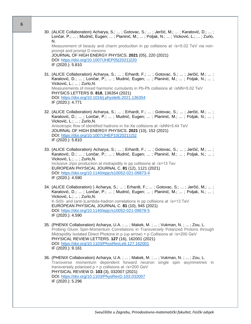30. (ALICE Collaboration) Acharya, S.; ... ; Gotovac, S.; ... ; Jerčić, M.; ... ; Karatović, D.; ... ; Lončar, P.; ... ; Mudnić, Eugen; ... ; Planinić, M.; ... ; Poljak, N.; ... ; Vicković, L.; ... ; Zurlo, N. Measurement of beauty and charm production in pp collisions at  $\sqrt{s}$ =5.02 TeV via nonprompt and prompt D mesons JOURNAL OF HIGH ENERGY PHYSICS. **2021** (05), 220 (2021) DOI: [https://doi.org/10.1007/JHEP05\(2021\)220](https://doi.org/10.1007/JHEP05(2021)220) IF (2020.): 5.810

- 31. (ALICE Collaboration) Acharya, S.; ... ; Erhardt, F.; ... ; Gotovac, S.; ... ; Jerčić, M.; ... ; Karatović, D.; ... ; Lončar, P.; ... ; Mudnić, Eugen; ... ; Planinić, M.; ... ; Poljak, N.; ... ; Vicković, L.; ... ; Zurlo,N. Measurements of mixed harmonic cumulants in Pb-Pb collisions at √sNN=5.02 TeV PHYSICS LETTERS B. **818**, 136354 (2021) DOI:<https://doi.org/10.1016/j.physletb.2021.136354> IF (2020.): 4.771
- 32. (ALICE Collaboration) Acharya, S.; ... ; Erhardt, F.; ... ; Gotovac, S.; ... ; Jerčić, M.; ... ; Karatović, D.; ... ; Lončar, P.; ... ; Mudnić, Eugen; ... ; Planinić, M.; ... ; Poljak, N.; ... ; Vicković, L.; ... ; Zurlo,N. Anisotropic flow of identified hadrons in Xe-Xe collisions at √sNN=5.44 TeV JOURNAL OF HIGH ENERGY PHYSICS. **2021** (10), 152 (2021) DOI: [https://doi.org/10.1007/JHEP10\(2021\)152](https://doi.org/10.1007/JHEP10(2021)152) IF (2020.): 5.810
- 33. (ALICE Collaboration) Acharya, S.; ... ; Erhardt, F.; ... ; Gotovac, S.; ... ; Jerčić, M.; ... ; Karatović, D.; ... ; Lončar, P.; ... ; Mudnić, Eugen; ... ; Planinić, M.; ... ; Poljak, N.; ... ; Vicković, L.; ... ; Zurlo,N. Inclusive J/psi production at midrapidity in pp collisions at √s=13 Tev EUROPEAN PHYSICAL JOURNAL C. **81** (12), 1121 (2021) DOI:<https://doi.org/10.1140/epjc/s10052-021-09873-4> IF (2020.): 4.590
- 34. (ALICE Collaboration) ) Acharya, S.; ... ; Erhardt, F.; ... ; Gotovac, S.; ... ; Jerčić, M.; ... ; Karatović, D.; ... ; Lončar, P.; ... ; Mudnić, Eugen; ... ; Planinić, M.; ... ; Poljak, N.; ... ; Vicković, L.; ... ; Zurlo,N. K-S(0)- and (anti-)Lambda-hadron correlations in pp collisions at  $\sqrt{s}$ =13 TeV EUROPEAN PHYSICAL JOURNAL C. **81** (10), 945 (2021) DOI:<https://doi.org/10.1140/epjc/s10052-021-09678-5> IF (2020.): 4.590
- 35. (PHENIX Collaboration) Acharya, U.A. ; ... ; Makek, M. ; ... ; Vukman, N. ; ... ; Zou, L. Probing Gluon Spin-Momentum Correlations in Transversely Polarized Protons through Midrapidity Isolated Direct Photons in p (up arrow) + p Collisions at √s=200 GeV PHYSICAL REVIEW LETTERS. **127** (16), 162001 (2021) DOI:<https://doi.org/10.1103/PhysRevLett.127.162001> IF (2020.): 9.161
- 36. (PHENIX Collaboration) Acharya, U.A. ; ... ; Makek, M. ; ... ; Vukman, N. ; ... ; Zou, L. Transverse momentum dependent forward neutron single spin asymmetries in transversely polarized  $p + p$  collisions at  $\sqrt{s}$ =200 GeV PHYSICAL REVIEW D. **103** (3), 032007 (2021) DOI:<https://doi.org/10.1103/PhysRevD.103.032007> IF (2020.): 5.296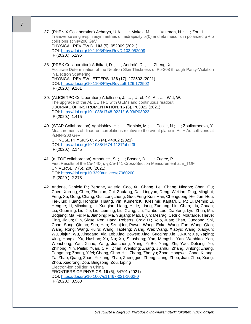- 37. (PHENIX Collaboration) Acharya, U.A. ; ... ; Makek, M. ; ... ; Vukman, N. ; ... ; Zou, L. Transverse single-spin asymmetries of midrapidity  $pi(0)$  and eta mesons in polarized  $p + p$ collisions at √s=200 GeV PHYSICAL REVIEW D. **103** (5), 052009 (2021) DOI:<https://doi.org/10.1103/PhysRevD.103.052009> IF (2020.): 5.296
- 38. (PREX Collaboration) Adhikari, D. ; ... ; Androić, D. ; ... ; Zheng, X. Accurate Determination of the Neutron Skin Thickness of Pb-208 through Parity-Violation in Electron Scattering PHYSICAL REVIEW LETTERS. **126** (17), 172502 (2021) DOI:<https://doi.org/10.1103/PhysRevLett.126.172502> IF (2020.): 9.161
- 39. (ALICE TPC Collaboration) Adolfsson, J.; ... ; Utrobičić, A. ; ... ; Witt, W. The upgrade of the ALICE TPC with GEMs and continuous readout JOURNAL OF INSTRUMENTATION. **16** (3), P03022 (2021) DOI:<https://doi.org/10.1088/1748-0221/16/03/P03022> IF (2020.): 1.415
- 40. (STAR Collaboration) Agakishiev, H.; ... ; Planinić, M.; ... ; Poljak, N.; ... ; Zoulkarneeva, Y. Measurements of dihadron correlations relative to the event plane in Au + Au collisions at √sNN=200 GeV CHINESE PHYSICS C. 45 (4), 44002 (2021) DOI:<https://doi.org/10.1088/1674-1137/abdf3f> IF (2020.): 2.145
- 41. (n\_TOF collaboration) Amaducci, S. ; ... ; Bosnar, D. ; ... ; Žugec, P. First Results of the Ce-140(n, γ)Ce-141 Cross-Section Measurement at n\_TOF UNIVERSE. **7** (6), 200 (2021) DOI:<https://doi.org/10.3390/universe7060200> IF (2020.): 2.278
- 42. Anderle, Daniele P.; Bertone, Valerio; Cao, Xu; Chang, Lei; Chang, Ningbo; Chen, Gu; Chen, Xurong; Chen, Zhuojun; Cui, Zhufang; Dai, Lingyun; Deng, Weitian; Ding, Minghui; Feng, Xu; Gong, Chang; Gui, Longcheng; Guo, Feng-Kun; Han, Chengdong; He, Jun; Hou, Tie-Jiun; Huang, Hongxia; Huang, Yin; KumericKi, KresImir; Kaptari, L. P.; Li, Demin; Li, Hengne; Li, Minxiang; Li, Xueqian; Liang, Yutie; Liang, Zuotang; Liu, Chen; Liu, Chuan; Liu, Guoming; Liu, Jie; Liu, Liuming; Liu, Xiang; Liu, Tianbo; Luo, Xiaofeng; Lyu, Zhun; Ma, Boqiang; Ma, Fu; Ma, Jianping; Ma, Yugang; Mao, Lijun; Mezrag, Cedric; Moutarde, Herve; Ping, Jialun; Qin, Sixue; Ren, Hang; Roberts, Craig D.; Rojo, Juan; Shen, Guodong; Shi, Chao; Song, Qintao; Sun, Hao; Sznajder, Pawel; Wang, Enke; Wang, Fan; Wang, Qian; Wang, Rong; Wang, Ruiru; Wang, Taofeng; Wang, Wei; Wang, Xiaoyu; Wang, Xiaoyun; Wu, Jiajun; Wu, Xinggang; Xia, Lei; Xiao, Bowen; Xiao, Guoqing; Xie, Ju-Jun; Xie, Yaping; Xing, Hongxi; Xu, Hushan; Xu, Nu; Xu, Shusheng; Yan, Mengshi; Yan, Wenbiao; Yan, Wencheng; Yan, Xinhu; Yang, Jiancheng; Yang, Yi-Bo; Yang, Zhi; Yao, Deliang; Ye, Zhihong; Yin, Peilin; Yuan, C.P.; Zhan, Wenlong; Zhang, Jianhui; Zhang, Jinlong; Zhang, Pengming; Zhang, Yifei; Chang, Chao-Hsi; Zhang, Zhenyu; Zhao, Hongwei; Chao, Kuang-Ta; Zhao, Qiang; Zhao, Yuxiang; Zhao, Zhengguo; Zheng, Liang; Zhou, Jian; Zhou, Xiang; Zhou, Xiaorong; Zou, Bingsong; Zou, Liping Electron-ion collider in China FRONTIERS OF PHYSICS. **16** (6), 64701 (2021) DOI:<https://doi.org/10.1007/s11467-021-1062-0>

IF (2020.): 3.563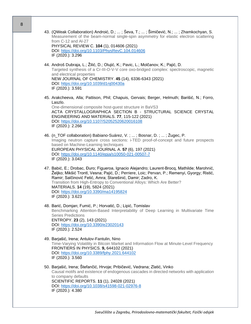43. (QWeak Collaboration) Androić, D.; ... ; Ševa, T.; ... ; Šimičević, N.; ... ; Zhamkochyan, S. Measurement of the beam-normal single-spin asymmetry for elastic electron scattering from C-12 and Al-27 PHYSICAL REVIEW C. **104** (1), 014606 (2021) DOI:<https://doi.org/10.1103/PhysRevC.104.014606> IF (2020.): 3.296

44. Androš Dubraja, L.; Žilić, D.; Olujić, K.; Pavic, L.; Molčanov, K.; Pajić, D. Targeted synthesis of a Cr-III-O-V-V core oxo-bridged complex: spectroscopic, magnetic and electrical properties NEW JOURNAL OF CHEMISTRY. **45** (14), 6336-6343 (2021) DOI:<https://doi.org/10.1039/d1nj00430a> IF (2020.): 3.591

45. Arakcheeva, Alla; Pattison, Phil; Chapuis, Gervais; Berger, Helmuth; Barišić, N.; Forro, Laszlo. One-dimensional composite host-guest structure in BaVS3 ACTA CRYSTALLOGRAPHICA SECTION B - STRUCTURAL SCIENCE CRYSTAL ENGINEERING AND MATERIALS. **77**, 115-122 (2021) DOI:<https://doi.org/10.1107/S2052520620016108> IF (2020.): 2.266

- 46. (n\_TOF collaboration) Babiano-Suárez, V. ; ... ; Bosnar, D. ; ... ; Žugec, P. Imaging neutron capture cross sections: i-TED proof-of-concept and future prospects based on Machine-Learning techniques EUROPEAN PHYSICAL JOURNAL A. **57** (6), 197 (2021) DOI:<https://doi.org/10.1140/epja/s10050-021-00507-7> IF (2020.): 3.043
- 47. Babić, E.; Drobac, Đuro; Figueroa, Ignacio Alejandro; Laurent-Brocq, Mathilde; Marohnić, Željko; Mikšić Trontl, Vesna; Pajić, D.; Perriere, Loic; Pervan, P.; Remenyi, Gyorgy; Ristić, Ramir; Salčinović Fetić, Amra; Starešinić, Damir; Zadro, K. Transition from High-Entropy to Conventional Alloys: Which Are Better? MATERIALS. **14** (19), 5824 (2021) DOI:<https://doi.org/10.3390/ma14195824> IF (2020.): 3.623
- 48. Barić, Domjan; Fumić, P.; Horvatić, D.; Lipić, Tomislav Benchmarking Attention-Based Interpretability of Deep Learning in Multivariate Time Series Predictions ENTROPY. **23** (2), 143 (2021) DOI:<https://doi.org/10.3390/e23020143> IF (2020.): 2.524
- 49. Barjašić, Irena; Antulov-Fantulin, Nino Time-Varying Volatility in Bitcoin Market and Information Flow at Minute-Level Frequency FRONTIERS IN PHYSICS. **9,** 644102 (2021) DOI:<https://doi.org/10.3389/fphy.2021.644102> IF (2020.): 3.560
- 50. Barjašić, Irena; Štefančić, Hrvoje; Pribičević, Vedrana; Zlatić, Vinko Causal motifs and existence of endogenous cascades in directed networks with application to company defaults SCIENTIFIC REPORTS. **11** (1), 24028 (2021) DOI:<https://doi.org/10.1038/s41598-021-02976-8> IF (2020.): 4.380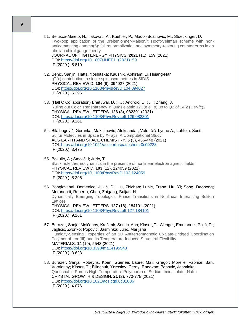|  | JOURNAL OF HIGH ENERGY PHYSICS. 2021 (11), 159 (2021)<br>DOI: https://doi.org/10.1007/JHEP11(2021)159<br>IF (2020.): 5.810                                                                                                                                                                                                                                                                                                 |
|--|----------------------------------------------------------------------------------------------------------------------------------------------------------------------------------------------------------------------------------------------------------------------------------------------------------------------------------------------------------------------------------------------------------------------------|
|  | 52. Benić, Sanjin; Hatta, Yoshitaka; Kaushik, Abhiram; Li, Hsiang-Nan<br>gT(x) contribution to single spin asymmetries in SIDIS<br>PHYSICAL REVIEW D. 104 (9), 094027 (2021)<br>DOI: https://doi.org/10.1103/PhysRevD.104.094027<br>IF (2020.): 5.296                                                                                                                                                                      |
|  | 53. (Hall C Collaboration) Bhetuwal, D.; ; Androić, D.; ; Zhang, J.<br>Ruling out Color Transparency in Quasielastic 12C(e,e ' p) up to Q2 of 14.2 (GeV/c)2<br>PHYSICAL REVIEW LETTERS. 126 (8), 082301 (2021)<br>DOI: https://doi.org/10.1103/PhysRevLett.126.082301<br>IF (2020.): 9.161                                                                                                                                 |
|  | 54. Bilalbegović, Goranka; Maksimović, Aleksandar; Valenčić, Lynne A.; Lehtola, Susi.<br>Sulfur Molecules in Space by X-rays: A Computational Study<br>ACS EARTH AND SPACE CHEMISTRY. 5 (3), 436-448 (2021)<br>DOI: https://doi.org/10.1021/acsearthspacechem.0c00238<br>IF (2020.): 3.475                                                                                                                                 |
|  | 55. Bokulić, A.; Smolić, I; Jurić, T.<br>Black hole thermodynamics in the presence of nonlinear electromagnetic fields<br>PHYSICAL REVIEW D. 103 (12), 124059 (2021)<br>DOI: https://doi.org/10.1103/PhysRevD.103.124059<br>IF (2020.): 5.296                                                                                                                                                                              |
|  | 56. Bongiovanni, Domenico; Jukić, D.; Hu, Zhichan; Lunić, Frane; Hu, Yi; Song, Daohong;<br>Morandotti, Roberto; Chen, Zhigang; Buljan, H.<br>Dynamically Emerging Topological Phase Transitions in Nonlinear Interacting Soliton<br>Lattices<br>PHYSICAL REVIEW LETTERS. 127 (18), 184101 (2021)<br>DOI: https://doi.org/10.1103/PhysRevLett.127.184101<br>IF (2020.): 9.161                                               |
|  | 57. Burazer, Sanja; Molčanov, Krešimir; Santic, Ana; Klaser, T.; Wenger, Emmanuel; Pajić, D.;<br>Jagličić, Zvonko; Popović, Jasminka; Jurić, Marijana<br>Humidity-Sensing Properties of an 1D Antiferromagnetic Oxalate-Bridged Coordination<br>Polymer of Iron(III) and Its Temperature-Induced Structural Flexibility<br>MATERIALS. 14 (19), 5543 (2021)<br>DOI: https://doi.org/10.3390/ma14195543<br>IF (2020.): 3.623 |
|  | 58. Burazer, Sanja; Robeyns, Koen; Guenee, Laure; Mali, Gregor; Morelle, Fabrice; Ban,<br>Voraksmy; Klaser, T.; Filinchuk, Yaroslav; Cerny, Radovan; Popović, Jasminka<br>Quenchable Porous High-Temperature Polymorph of Sodium Imidazolate, Nalm<br>CRYSTAL GROWTH & DESIGN. 21 (2), 770-778 (2021)<br>DOI: https://doi.org/10.1021/acs.cgd.0c01006<br>IF (2020.): 4.076                                                 |
|  |                                                                                                                                                                                                                                                                                                                                                                                                                            |

51. Belusca-Maieto, H.; Ilakovac, A.; Kuehler, P.; Mađor-Božinović, M.; Stoeckinger, D.

abelian chiral gauge theory

Two-loop application of the Breitenlohner-Maison/'t Hooft-Veltman scheme with nonanticommuting gamma(5): full renormalization and symmetry-restoring counterterms in an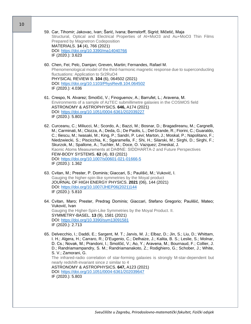| 60. Chen, Fei; Pelc, Damjan; Greven, Martin; Fernandes, Rafael M.<br>Phenomenological model of the third-harmonic magnetic response due to superconducting<br>fluctuations: Application to Sr2RuO4<br>PHYSICAL REVIEW B. 104 (6), 064502 (2021)<br>DOI: https://doi.org/10.1103/PhysRevB.104.064502<br>IF (2020.): 4.036<br>61. Crespo, N. Alvarez; Smolčić, V.; Finoguenov, A.; Barrufet, L.; Aravena, M.<br>Environments of a sample of AzTEC submillimetre galaxies in the COSMOS field<br>ASTRONOMY & ASTROPHYSICS. 646, A174 (2021)<br>DOI: https://doi.org/10.1051/0004-6361/202039227<br>IF (2020.): 5.803<br>62. Curceanu, C.; Miliucci, M.; Scordo, A.; Bazzi, M.; Bosnar, D.; Bragadireanu, M.; Cargnelli,<br>M.; Carminati, M.; Clozza, A.; Deda, G.; De Paolis, L.; Del Grande, R.; Fiorini, C.; Guaraldo,<br>C.; Iliescu, M.; Iwasaki, M.; King, P.; Sandri, P. Levi; Marton, J.; Moskal, P.; Napolitano, F.;<br>Niedzwiecki, S.; Piscicchia, K.; Sgaramella, F.; Shi, H.; Silarski, M.; Sirghi, D.; Sirghi, F.;<br>Skurzok, M.; Spallone, A.; Tuchler, M.; Doce, O. Vazquez; Zmeskal, J.<br>Kaonic Atoms Measurements at DAΦNE: SIDDHARTA-2 and Future Perspectives<br>FEW-BODY SYSTEMS. 62 (4), 83 (2021)<br>DOI: https://doi.org/10.1007/s00601-021-01666-5<br>IF (2020.): 1.362<br>63. Cvitan, M.; Prester, P. Dominis; Giaccari, S.; Paulišić, M.; Vuković, I.<br>Gauging the higher-spin-like symmetries by the Moyal product<br>JOURNAL OF HIGH ENERGY PHYSICS. 2021 (06), 144 (2021)<br>DOI: https://doi.org/10.1007/JHEP06(2021)144<br>IF (2020.): 5.810<br>64. Cvitan, Maro; Prester, Predrag Dominis; Giaccari, Stefano Gregorio; Paulišić, Mateo;<br>Vuković, Ivan<br>Gauging the Higher-Spin-Like Symmetries by the Moyal Product. II.<br>SYMMETRY-BASEL. 13 (9), 1581 (2021)<br>DOI: https://doi.org/10.3390/sym13091581<br>IF (2020.): 2.713<br>65. Delvecchio, I.; Daddi, E.; Sargent, M. T.; Jarvis, M. J.; Elbaz, D.; Jin, S.; Liu, D.; Whittam,<br>I. H.; Algera, H.; Carraro, R.; D'Eugenio, C.; Delhaize, J.; Kalita, B. S.; Leslie, S.; Molnar,<br>D. Cs.; Novak, M.; Prandoni, I.; Smolčić, V.; Ao, Y.; Aravena, M.; Bournaud, F.; Collier, J.<br>D.; Randriamampandry, S. M.; Randriamanakoto, Z.; Rodighiero, G.; Schober, J.; White,<br>S. V.; Zamorani, G.<br>The infrared-radio correlation of star-forming galaxies is strongly M-star-dependent but<br>nearly redshift-invariant since z similar to 4<br>ASTRONOMY & ASTROPHYSICS. 647, A123 (2021)<br>DOI: https://doi.org/10.1051/0004-6361/202039647<br>IF (2020.): 5.803 | IF (2020.): 3.623 |
|-------------------------------------------------------------------------------------------------------------------------------------------------------------------------------------------------------------------------------------------------------------------------------------------------------------------------------------------------------------------------------------------------------------------------------------------------------------------------------------------------------------------------------------------------------------------------------------------------------------------------------------------------------------------------------------------------------------------------------------------------------------------------------------------------------------------------------------------------------------------------------------------------------------------------------------------------------------------------------------------------------------------------------------------------------------------------------------------------------------------------------------------------------------------------------------------------------------------------------------------------------------------------------------------------------------------------------------------------------------------------------------------------------------------------------------------------------------------------------------------------------------------------------------------------------------------------------------------------------------------------------------------------------------------------------------------------------------------------------------------------------------------------------------------------------------------------------------------------------------------------------------------------------------------------------------------------------------------------------------------------------------------------------------------------------------------------------------------------------------------------------------------------------------------------------------------------------------------------------------------------------------------------------------------------------------------------------------------------------------------------------------------------------------------------------------------------------------------------------------------------------------------------------------------------------------------------|-------------------|
|                                                                                                                                                                                                                                                                                                                                                                                                                                                                                                                                                                                                                                                                                                                                                                                                                                                                                                                                                                                                                                                                                                                                                                                                                                                                                                                                                                                                                                                                                                                                                                                                                                                                                                                                                                                                                                                                                                                                                                                                                                                                                                                                                                                                                                                                                                                                                                                                                                                                                                                                                                         |                   |
|                                                                                                                                                                                                                                                                                                                                                                                                                                                                                                                                                                                                                                                                                                                                                                                                                                                                                                                                                                                                                                                                                                                                                                                                                                                                                                                                                                                                                                                                                                                                                                                                                                                                                                                                                                                                                                                                                                                                                                                                                                                                                                                                                                                                                                                                                                                                                                                                                                                                                                                                                                         |                   |
|                                                                                                                                                                                                                                                                                                                                                                                                                                                                                                                                                                                                                                                                                                                                                                                                                                                                                                                                                                                                                                                                                                                                                                                                                                                                                                                                                                                                                                                                                                                                                                                                                                                                                                                                                                                                                                                                                                                                                                                                                                                                                                                                                                                                                                                                                                                                                                                                                                                                                                                                                                         |                   |
|                                                                                                                                                                                                                                                                                                                                                                                                                                                                                                                                                                                                                                                                                                                                                                                                                                                                                                                                                                                                                                                                                                                                                                                                                                                                                                                                                                                                                                                                                                                                                                                                                                                                                                                                                                                                                                                                                                                                                                                                                                                                                                                                                                                                                                                                                                                                                                                                                                                                                                                                                                         |                   |
|                                                                                                                                                                                                                                                                                                                                                                                                                                                                                                                                                                                                                                                                                                                                                                                                                                                                                                                                                                                                                                                                                                                                                                                                                                                                                                                                                                                                                                                                                                                                                                                                                                                                                                                                                                                                                                                                                                                                                                                                                                                                                                                                                                                                                                                                                                                                                                                                                                                                                                                                                                         |                   |
|                                                                                                                                                                                                                                                                                                                                                                                                                                                                                                                                                                                                                                                                                                                                                                                                                                                                                                                                                                                                                                                                                                                                                                                                                                                                                                                                                                                                                                                                                                                                                                                                                                                                                                                                                                                                                                                                                                                                                                                                                                                                                                                                                                                                                                                                                                                                                                                                                                                                                                                                                                         |                   |
|                                                                                                                                                                                                                                                                                                                                                                                                                                                                                                                                                                                                                                                                                                                                                                                                                                                                                                                                                                                                                                                                                                                                                                                                                                                                                                                                                                                                                                                                                                                                                                                                                                                                                                                                                                                                                                                                                                                                                                                                                                                                                                                                                                                                                                                                                                                                                                                                                                                                                                                                                                         |                   |

59. Car, Tihomir; Jakovac, Ivan; Šarić, Ivana; Bernstorff, Sigrid; Mičetić, Maja

Prepared by Magnetron Codeposition MATERIALS. **14** (4), 766 (2021)

DOI:<https://doi.org/10.3390/ma14040766>

Structural, Optical and Electrical Properties of Al+MoO3 and Au+MoO3 Thin Films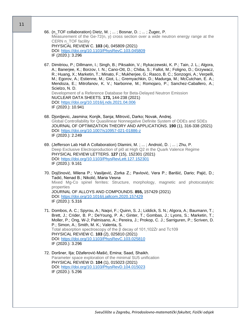| PHYSICAL REVIEW C. 103 (4), 045809 (2021)<br>DOI: https://doi.org/10.1103/PhysRevC.103.045809<br>IF (2020.): 3.296                                                                                                                                                                                                                                                                                                                                                                                                                                                                                                                                                                                   |
|------------------------------------------------------------------------------------------------------------------------------------------------------------------------------------------------------------------------------------------------------------------------------------------------------------------------------------------------------------------------------------------------------------------------------------------------------------------------------------------------------------------------------------------------------------------------------------------------------------------------------------------------------------------------------------------------------|
| 67. Dimitriou, P.; Dillmann, I.; Singh, B.; Piksaikin, V.; Rykaczewski, K. P.; Tain, J. L.; Algora,<br>A.; Banerjee, K.; Borzov, I. N.; Cano-Ott, D.; Chiba, S.; Fallot, M.; Foligno, D.; Grzywacz,<br>R.; Huang, X.; Marketin, T.; Minato, F.; Mukherjee, G.; Rasco, B. C.; Sonzogni, A.; Verpelli,<br>M.; Egorov, A.; Estienne, M.; Giot, L.; Gremyachkin, D.; Madurga, M.; McCutchan, E. A.;<br>Mendoza, E.; Mitrofanov, K. V.; Narbonne, M.; Romojaro, P.; Sanchez-Caballero, A.;<br>Scielzo, N. D.<br>Development of a Reference Database for Beta-Delayed Neutron Emission<br>NUCLEAR DATA SHEETS. 173, 144-238 (2021)<br>DOI: https://doi.org/10.1016/j.nds.2021.04.006<br>IF (2020.): 10.941 |
| 68. Djordjevic, Jasmina; Konjik, Sanja; Mitrović, Darko; Novak, Andrej.<br>Global Controllability for Quasilinear Nonnegative Definite System of ODEs and SDEs<br>JOURNAL OF OPTIMIZATION THEORY AND APPLICATIONS. 190 (1), 316-338 (2021)<br>DOI: https://doi.org/10.1007/s10957-021-01886-z<br>IF (2020.): 2.249                                                                                                                                                                                                                                                                                                                                                                                   |
| 69. (Jefferson Lab Hall A Collaboration) Dlamini, M.; ; Androić, D.; ; Zhu, P.<br>Deep Exclusive Electroproduction of pi0 at High Q2 in the Quark Valence Regime<br>PHYSICAL REVIEW LETTERS. 127 (15), 152301 (2021)<br>DOI: https://doi.org/10.1103/PhysRevLett.127.152301<br>IF (2020.): 9.161                                                                                                                                                                                                                                                                                                                                                                                                     |
| 70. Dojčinović, Milena P.; Vasiljević, Zorka Z.; Pavlović, Vera P.; Barišić, Dario; Pajić, D.;<br>Tadić, Nenad B.; Nikolić, Maria Vesna<br>Mixed Mg-Co spinel ferrites: Structure, morphology, magnetic and photocatalytic<br>properties<br>JOURNAL OF ALLOYS AND COMPOUNDS. 855, 157429 (2021)<br>DOI: https://doi.org/10.1016/j.jallcom.2020.157429<br>IF (2020.): 5.316                                                                                                                                                                                                                                                                                                                           |
| 71. Dombos, A. C.; Spyrou, A.; Naqvi, F.; Quinn, S. J.; Liddick, S. N.; Algora, A.; Baumann, T.;<br>Brett, J.; Crider, B. P.; DeYoung, P. A.; Ginter, T.; Gombas, J.; Lyons, S.; Marketin, T.;<br>Moller, P.; Ong, W-J; Palmisano, A.; Pereira, J.; Prokop, C. J.; Sarriguren, P.; Scriven, D.<br>P.; Simon, A.; Smith, M. K.; Valenta, S.<br>Total absorption spectroscopy of the β decay of 101,102Zr and Tc109<br>PHYSICAL REVIEW C. 103 (2), 025810 (2021)<br>DOI: https://doi.org/10.1103/PhysRevC.103.025810<br>IF (2020.): 3.296                                                                                                                                                              |
| 72. Doršner, Ilja; Džaferović-Mašić, Emina; Saad, Shaikh.<br>Parameter space exploration of the minimal SU5 unification<br>PHYSICAL REVIEW D. 104 (1), 015023 (2021)<br>DOI: https://doi.org/10.1103/PhysRevD.104.015023<br>IF (2020.): 5.296                                                                                                                                                                                                                                                                                                                                                                                                                                                        |
|                                                                                                                                                                                                                                                                                                                                                                                                                                                                                                                                                                                                                                                                                                      |

66. (n\_TOF collaboration) Dietz, M. ; ... ; Bosnar, D. ; ... ; Žugec, P.

CERN n\_TOF facility

Measurement of the Ge-72(n, y) cross section over a wide neutron energy range at the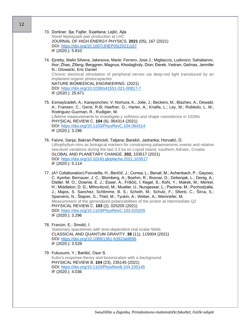- 73. Doršner, Ilja; Fajfer, Svjetlana; Lejlić, Ajla Novel leptoquark pair production at LHC JOURNAL OF HIGH ENERGY PHYSICS. **2021** (05), 167 (2021) DOI: [https://doi.org/10.1007/JHEP05\(2021\)167](https://doi.org/10.1007/JHEP05(2021)167) IF (2020.): 5.810
- 74. Ejneby, Malin Silvera; Jakesova, Marie; Ferrero, Jose J.; Migliaccio, Ludovico; Sahalianov, Ihor; Zhao, Zifang; Berggren, Magnus; Khodagholy, Dion; Đerek, Vedran; Gelinas, Jennifer N.; Glowacki, Eric Daniel Chronic electrical stimulation of peripheral nerves via deep-red light transduced by an implanted organic photocapacitor NATURE BIOMEDICAL ENGINEERING. (2021) DOI:<https://doi.org/10.1038/s41551-021-00817-7> IF (2020.): 25.671
- 75. Esmaylzadeh, A.; Karayonchev, V; Nomura, K.; Jolie, J.; Beckers, M.; Blazhev, A.; Dewald, A.; Fransen, C.; Gerst, R-B; Haefner, G.; Harter, A.; Knafla, L.; Ley, M.; Robledo, L. M.; Rodriguez-Guzman, R.; Rudigier, M. Lifetime measurements to investigate γ softness and shape coexistence in 102Mo PHYSICAL REVIEW C. **104** (6), 064314 (2021) DOI:<https://doi.org/10.1103/PhysRevC.104.064314> IF (2020.): 3.296
- 76. Faivre, Sanja; Bakran-Petricioli, Tatjana; Barešić, Jadranka; Horvatić, D. Lithophyllum rims as biological markers for constraining palaeoseismic events and relative sea-level variations during the last 3.3 ka on Lopud Island, southern Adriatic, Croatia GLOBAL AND PLANETARY CHANGE. **202,** 103517 (2021) DOI:<https://doi.org/10.1016/j.gloplacha.2021.103517> IF (2020.): 5.114
- 77. (A1 Collaboration) Fonvieille, H.; Beričič, J.; Correa, L.; Benali, M.; Achenbach, P.; Gayoso, C. Ayerbe; Bernauer, J. C.; Blomberg, A.; Boehm, R.; Bosnar, D.; Debenjak, L.; Denig, A.; Distler, M. O.; Downie, E. J.; Esser, A.; Friščić, I; Kegel, S.; Kohl, Y.; Makek, M.; Merkel, H.; Middleton, D. G.; Mihovilović, M.; Mueller, U.; Nungesser, L.; Paolone, M.; Pochodzalla, J.; Majos, S. Sanchez; Schlimme, B. S.; Schoth, M.; Schulz, F.; Sfienti, C.; Širca, S.; Sparveris, N.; Štajner, S.; Thiel, M.; Tyukin, A.; Weber, A.; Weinriefer, M. Measurement of the generalized polarizabilities of the proton at intermediate Q2 PHYSICAL REVIEW C. **103** (2), 025205 (2021) DOI:<https://doi.org/10.1103/PhysRevC.103.025205> IF (2020.): 3.296
- 78. Franzin, E.; Smolić, I. Stationary spacetimes with time-dependent real scalar fields CLASSICAL AND QUANTUM GRAVITY. **38** (11), 115004 (2021) DOI:<https://doi.org/10.1088/1361-6382/abf896> IF (2020.): 3.528
- 79. Fukusumi, Y.; Barišić, Osor S. Kubo's response theory and bosonization with a background PHYSICAL REVIEW B. **104** (23), 235145 (2021) DOI:<https://doi.org/10.1103/PhysRevB.104.235145> IF (2020.): 4.036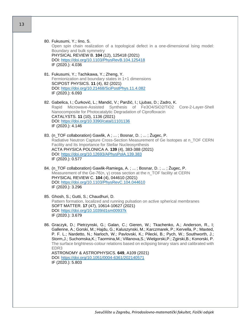80. Fukusumi, Y.; Iino, S. Open spin chain realization of a topological defect in a one-dimensional Ising model: Boundary and bulk symmetry PHYSICAL REVIEW B. **104** (12), 125418 (2021) DOI:<https://doi.org/10.1103/PhysRevB.104.125418> IF (2020.): 4.036

- 81. Fukusumi, Y.; Tachikawa, Y.; Zheng, Y. Fermionization and boundary states in 1+1 dimensions SCIPOST PHYSICS. **11** (4), 82 (2021) DOI:<https://doi.org/10.21468/SciPostPhys.11.4.082> IF (2020.): 6.093
- 82. Gabelica, I.; Ćurković, L.; Mandić, V.; Panžić, I.; Ljubas, D.; Zadro, K. Rapid Microwave-Assisted Synthesis of Fe3O4/SiO2/TiO2 Core-2-Layer-Shell Nanocomposite for Photocatalytic Degradation of Ciprofloxacin CATALYSTS. **11** (10), 1136 (2021) DOI:<https://doi.org/10.3390/catal11101136> IF (2020.): 4.146
- 83. (n\_TOF collaboration) Gawlik, A ; ... ; Bosnar, D. ; ... ; Žugec, P. Radiative Neutron Capture Cross-Section Measurement of Ge Isotopes at n\_TOF CERN Facility and Its Importance for Stellar Nucleosynthesis ACTA PHYSICA POLONICA A. **139** (4), 383-388 (2021) DOI:<https://doi.org/10.12693/APhysPolA.139.383> IF (2020.): 0.577
- 84. (n\_TOF collaboration) Gawlik-Ramiega, A. ; ... ; Bosnar, D. ; ... ; Žugec, P. Measurement of the Ge-76(n, γ) cross section at the n\_TOF facility at CERN PHYSICAL REVIEW C. **104** (4), 044610 (2021) DOI:<https://doi.org/10.1103/PhysRevC.104.044610> IF (2020.): 3.296
- 85. Ghosh, S.; Gutti, S.; Chaudhuri, D. Pattern formation, localized and running pulsation on active spherical membranes SOFT MATTER. **17** (47), 10614-10627 (2021) DOI:<https://doi.org/10.1039/d1sm00937k> IF (2020.): 3.679
- 86. Graczyk, D.; Pietrzynski, G.; Galan, C.; Gieren, W.; Tkachenko, A.; Anderson, R., I; Gallenne, A.; Gorski, M.; Hajdu, G.; Kaluszynski, M.; Karczmarek, P.; Kervella, P.; Maxted, P. F. L.; Nardetto, N.; Narloch, W.; Pavlovski, K.; Pilecki, B.; Pych, W.; Southworth, J.; Storm,J.; Suchomska,K.; Taormina,M.; Villanova,S.; Wielgorski,P.; Zgirski,B.; Konorski, P. The surface brightness-colour relations based on eclipsing binary stars and calibrated with EDR3 ASTRONOMY & ASTROPHYSICS. **649**, A109 (2021)

DOI:<https://doi.org/10.1051/0004-6361/202140571> IF (2020.): 5.803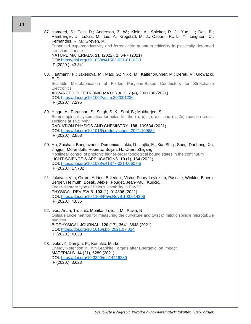| 87. Hameed, S.; Pelc, D.; Anderson, Z. W.; Klein, A.; Spieker, R. J.; Yue, L.; Das, B.;<br>Ramberger, J.; Lukas, M.; Liu, Y.; Krogstad, M. J.; Osborn, R.; Li, Y.; Leighton, C.;<br>Fernandes, R. M.; Greven, M.<br>Enhanced superconductivity and ferroelectric quantum criticality in plastically deformed<br>strontium titanate<br>NATURE MATERIALS. 21, (2022), 1; 54-+ (2021)<br>DOI: https://doi.org/10.1038/s41563-021-01102-3<br>IF (2020.): 43.841 |
|-------------------------------------------------------------------------------------------------------------------------------------------------------------------------------------------------------------------------------------------------------------------------------------------------------------------------------------------------------------------------------------------------------------------------------------------------------------|
| 88. Hartmann, F.; Jakesova, M.; Mao, G.; Nikić, M.; Kaltenbrunner, M.; Đerek, V.; Glowacki,<br>E. D.<br>Scalable Microfabrication of Folded Parylene-Based Conductors for Stretchable<br>Electronics<br>ADVANCED ELECTRONIC MATERIALS. 7 (4), 2001236 (2021)<br>DOI: https://doi.org/10.1002/aelm.202001236<br>IF (2020.): 7.295                                                                                                                            |
| 89. Hingu, A.; Parashari, S.; Singh, S. K.; Soni, B.; Mukherjee, S.<br>Semi-empirical systematics formulas for the $(n, p)$ , $(n, \alpha)$ , and $(n, 2n)$ reaction cross-<br>sections at 14.5 MeV<br>RADIATION PHYSICS AND CHEMISTRY. 188, 109634 (2021)<br>DOI: https://doi.org/10.1016/j.radphyschem.2021.109634<br>IF (2020.): 2.858                                                                                                                   |
| 90. Hu, Zhichan; Bongiovanni, Domenico; Jukić, D.; Jajtić, E.; Xia, Shiqi; Song, Daohong; Xu,<br>Jingjun; Morandotti, Roberto; Buljan, H.; Chen, Zhigang<br>Nonlinear control of photonic higher-order topological bound states in the continuum<br>LIGHT-SCIENCE & APPLICATIONS. 10 (1), 164 (2021)<br>DOI: https://doi.org/10.1038/s41377-021-00607-5<br>IF (2020.): 17.782                                                                               |
| 91. Ilakovac, Vita; Girard, Adrien; Baledent, Victor; Foury-Leylekian, Pascale; Winkler, Bjoern;<br>Berger, Helmuth; Bosak, Alexei; Pouget, Jean-Paul; Kupčić, I.<br>Order-disorder type of Peierls instability in BaVS3<br>PHYSICAL REVIEW B. 103 (1), 014306 (2021)<br>DOI: https://doi.org/10.1103/PhysRevB.103.014306<br>IF (2020.): 4.036                                                                                                              |
| 92. Ivec, Arian; Trupinić, Monika; Tolić, I. M.; Pavin, N.<br>Oblique circle method for measuring the curvature and twist of mitotic spindle microtubule<br>bundles<br>BIOPHYSICAL JOURNAL. 120 (17), 3641-3648 (2021)<br>DOI: https://doi.org/10.1016/j.bpj.2021.07.024<br>IF (2020.): 4.033                                                                                                                                                               |
| 93. Iveković, Damjan; P.; Karlušić, Marko<br>Energy Retention in Thin Graphite Targets after Energetic Ion Impact<br>MATERIALS. 14 (21), 6289 (2021)<br>DOI: https://doi.org/10.3390/ma14216289<br>IF (2020.): 3.623                                                                                                                                                                                                                                        |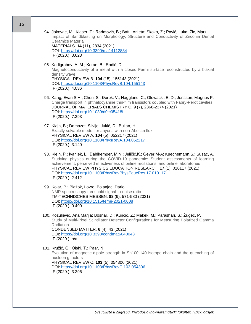94. Jakovac, M.; Klaser, T.; Radatović, B.; Bafti, Arijeta; Skoko, Ž.; Pavić, Luka; Žic, Mark Impact of Sandblasting on Morphology, Structure and Conductivity of Zirconia Dental Ceramics Material MATERIALS. **14** (11), 2834 (2021) DOI:<https://doi.org/10.3390/ma14112834> IF (2020.): 3.623 95. Kadigrobov, A. M.; Keran, B.; Radić, D. Magnetoconductivity of a metal with a closed Fermi surface reconstructed by a biaxial density wave PHYSICAL REVIEW B. **104** (15), 155143 (2021) DOI:<https://doi.org/10.1103/PhysRevB.104.155143> IF (2020.): 4.036 96. Kang, Evan S.H.; Chen, S.; Đerek, V.; Hagglund, C.; Glowacki, E. D.; Jonsson, Magnus P. Charge transport in phthalocyanine thin-film transistors coupled with Fabry-Perot cavities JOURNAL OF MATERIALS CHEMISTRY C. **9** (7), 2368-2374 (2021) DOI:<https://doi.org/10.1039/d0tc05418f> IF (2020.): 7.393 97. Klajn, B.; Domazet, Silvije; Jukić, D.; Buljan, H. Exactly solvable model for anyons with non-Abelian flux PHYSICAL REVIEW A. **104** (5), 052217 (2021) DOI:<https://doi.org/10.1103/PhysRevA.104.052217> IF (2020.): 3.140 98. Klein, P.; Ivanjek, L.; Dahlkemper, M.N.; Jeličić,K.; Geyer,M-A; Kuechemann,S.; Sušac, A. Studying physics during the COVID-19 pandemic: Student assessments of learning achievement, perceived effectiveness of online recitations, and online laboratories PHYSICAL REVIEW PHYSICS EDUCATION RESEARCH. **17** (1), 010117 (2021) DOI:<https://doi.org/10.1103/PhysRevPhysEducRes.17.010117> IF (2020.): 2.412 99. Kolar, P.; Blažok, Lovro; Bojanjac, Dario NMR spectroscopy threshold signal-to-noise ratio TM-TECHNISCHES MESSEN. **88** (9), 571-580 (2021) DOI:<https://doi.org/10.1515/teme-2021-0008> IF (2020.): 0.490 100. Kožuljević, Ana Marija; Bosnar, D.; Kunčić, Z.; Makek, M.; Parashari, S.; Žugec, P. Study of Multi-Pixel Scintillator Detector Configurations for Measuring Polarized Gamma Radiation CONDENSED MATTER. **6** (4), 43 (2021) DOI:<https://doi.org/10.3390/condmat6040043> IF (2020.): n/a 101. Kružić, G.; Oishi, T.; Paar, N. Evolution of magnetic dipole strength in Sn100-140 isotope chain and the quenching of nucleon g factors PHYSICAL REVIEW C. **103** (5), 054306 (2021) DOI:<https://doi.org/10.1103/PhysRevC.103.054306>

IF (2020.): 3.296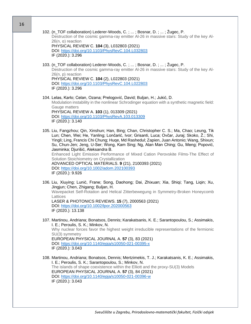| 102. (n_TOF collaboration) Lederer-Woods, C.; ; Bosnar, D.; ; Žugec, P.                                                                                                                                                                                                                                                                                                                                                                                                                                                                                                                                                                                                    |  |
|----------------------------------------------------------------------------------------------------------------------------------------------------------------------------------------------------------------------------------------------------------------------------------------------------------------------------------------------------------------------------------------------------------------------------------------------------------------------------------------------------------------------------------------------------------------------------------------------------------------------------------------------------------------------------|--|
| Destruction of the cosmic gamma-ray emitter Al-26 in massive stars: Study of the key Al-<br>$26(n, \alpha)$ reaction<br>PHYSICAL REVIEW C. 104 (3), L032803 (2021)<br>DOI: https://doi.org/10.1103/PhysRevC.104.L032803<br>IF (2020.): 3.296                                                                                                                                                                                                                                                                                                                                                                                                                               |  |
| 103. (n_TOF collaboration) Lederer-Woods, C.; ; Bosnar, D.; ; Žugec, P.<br>Destruction of the cosmic gamma-ray emitter Al-26 in massive stars: Study of the key Al-<br>$26(n, p)$ reaction<br>PHYSICAL REVIEW C. 104 (2), L022803 (2021)<br>DOI: https://doi.org/10.1103/PhysRevC.104.L022803<br>IF (2020.): 3.296                                                                                                                                                                                                                                                                                                                                                         |  |
| 104. Lelas, Karlo; Celan, Ozana; Prelogović, David; Buljan, H.; Jukić, D.<br>Modulation instability in the nonlinear Schrodinger equation with a synthetic magnetic field:<br>Gauge matters<br>PHYSICAL REVIEW A. 103 (1), 013309 (2021)<br>DOI: https://doi.org/10.1103/PhysRevA.103.013309<br>IF (2020.): 3.140                                                                                                                                                                                                                                                                                                                                                          |  |
| 105. Liu, Fangzhou; Qin, Xinshun; Han, Bing; Chan, Christopher C. S.; Ma, Chao; Leung, Tik<br>Lun; Chen, Wei; He, Yanling; Lončarić, Ivor; Grisanti, Luca; Ovčar, Juraj; Skoko, Ž.; Shi,<br>Yingli; Ling, Francis Chi Chung; Huqe, Md Rashedul; Zapien, Juan Antonio; Wang, Shixun;<br>Su, Chun-Jen; Jeng, U-Ser; Wong, Kam Sing; Ng, Alan Man Ching; Gu, Meng; Popović,<br>Jasminka; Djurišić, Aleksandra B.<br>Enhanced Light Emission Performance of Mixed Cation Perovskite Films-The Effect of<br>Solution Stoichiometry on Crystallization<br>ADVANCED OPTICAL MATERIALS. 9 (21), 2100393 (2021)<br>DOI: https://doi.org/10.1002/adom.202100393<br>IF (2020.): 9.926 |  |
| 106. Liu, Xiuying; Lunić, Frane; Song, Daohong; Dai, Zhixuan; Xia, Shiqi; Tang, Liqin; Xu,<br>Jingjun; Chen, Zhigang; Buljan, H.<br>Wavepacket Self-Rotation and Helical Zitterbewegung in Symmetry-Broken Honeycomb<br>Lattices<br>LASER & PHOTONICS REVIEWS. 15 (7), 2000563 (2021)<br>DOI: https://doi.org/10.1002/lpor.202000563<br>IF (2020.): 13.138                                                                                                                                                                                                                                                                                                                 |  |
| 107. Martinou, Andriana; Bonatsos, Dennis; Karakatsanis, K. E.; Sarantopoulou, S.; Assimakis,<br>I. E.; Peroulis, S. K.; Minkov, N.<br>Why nuclear forces favor the highest weight irreducible representations of the fermionic<br>SU(3) symmetry<br>EUROPEAN PHYSICAL JOURNAL A. 57 (3), 83 (2021)<br>DOI: https://doi.org/10.1140/epja/s10050-021-00395-x<br>IF (2020.): 3.043                                                                                                                                                                                                                                                                                           |  |
| 108. Martinou, Andriana; Bonatsos, Dennis; Mertzimekis, T. J.; Karakatsanis, K. E.; Assimakis,<br>I. E.; Peroulis, S. K.; Sarantopoulou, S.; Minkov, N.<br>The islands of shape coexistence within the Elliott and the proxy-SU(3) Models<br>EUROPEAN PHYSICAL JOURNAL A. 57 (3), 84 (2021)<br>DOI: https://doi.org/10.1140/epja/s10050-021-00396-w<br>IF (2020.): 3.043                                                                                                                                                                                                                                                                                                   |  |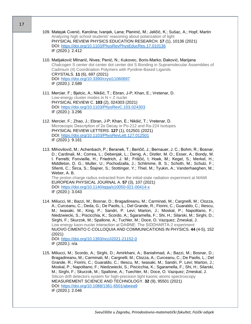- 109. Matejak Cvenić, Karolina; Ivanjek, Lana; Planinić, M.; Jeličić, K.; Sušac, A.; Hopf, Martin Analyzing high school students' reasoning about polarization of light PHYSICAL REVIEW PHYSICS EDUCATION RESEARCH. **17** (1), 10136 (2021) DOI:<https://doi.org/10.1103/PhysRevPhysEducRes.17.010136> IF (2020.): 2.412
- 110. Matijaković Mlinarić, Nives; Penić, N.; Kukovec, Boris-Marko; Đaković, Marijana Chalcogen S center dot center dot center dot S Bonding in Supramolecular Assemblies of Cadmium (II) Coordination Polymers with Pyridine-Based Ligands CRYSTALS. **11** (6), 697 (2021) DOI:<https://doi.org/10.3390/cryst11060697> IF (2020.): 2.589
- 111. Mercier, F.; Bjelcic, A.; Nikšić, T.; Ebran, J-P; Khan, E.; Vretenar, D. Low-energy cluster modes in  $N = Z$  nuclei PHYSICAL REVIEW C. **103** (2), 024303 (2021) DOI:<https://doi.org/10.1103/PhysRevC.103.024303> IF (2020.): 3.296
- 112. Mercier, F.; Zhao, J.; Ebran, J-P; Khan, E.; Nikšić, T.; Vretenar, D. Microscopic Description of 2α Decay in Po-212 and Ra-224 Isotopes PHYSICAL REVIEW LETTERS. **127** (1), 012501 (2021) DOI:<https://doi.org/10.1103/PhysRevLett.127.012501> IF (2020.): 9.161
- 113. Mihovilovič, M.; Achenbach, P.; Beranek, T.; Beričič, J.; Bernauer, J. C.; Bohm, R.; Bosnar, D.; Cardinali, M.; Correa, L.; Debenjak, L.; Denig, A.; Distler, M. O.; Esser, A.; Bondy, M. I. Ferretti; Fonvieille, H.; Friedrich, J. M.; Friščić, I; Hoek, M.; Kegel, S.; Merkel, H.; Middleton, D. G.; Muller, U.; Pochodzalla, J.; Schlimme, B. S.; Schoth, M.; Schulz, F.; Sfienti, C.; Širca, S.; Štajner, S.; Stottinger, Y.; Thiel, M.; Tyukin, A.; Vanderhaeghen, M.; Weber, A. B. The proton charge radius extracted from the initial-state radiation experiment at MAMI EUROPEAN PHYSICAL JOURNAL A. **57** (3), 107 (2021) DOI:<https://doi.org/10.1140/epja/s10050-021-00414-x> IF (2020.): 3.043
- 114. Miliucci, M.; Bazzi, M.; Bosnar, D.; Bragadireanu, M.; Carminati, M.; Cargnelli, M.; Clozza, A.; Curceanu, C.; Deda, G.; De Paolis, L.; Del Grande, R.; Fiorini, C.; Guaraldo, C.; Iliescu, M.; Iwasaki, M.; King, P.; Sandri, P. Levi; Marton, J.; Moskal, P.; Napolitano, F.; Niedzwiecki, S.; Piscicchia, K.; Scordo, A.; Sgaramella, F.; Shi, H.; Silarski, M.; Sirghi, D.; Sirghi, F.; Skurzok, M.; Spallone, A.; Tuchler, M.; Doce, O. Vazquez; Zmeskal, J. Low energy kaon-nuclei interaction at DAΦNE: The SIDDHARTA-2 experiment NUOVO CIMENTO C-COLLOQUIA AND COMMUNICATIONS IN PHYSICS. **44** (4-5), 152 (2021) DOI:<https://doi.org/10.1393/ncc/i2021-21152-0>

IF (2020.): n/a

115. Miliucci, M.; Scordo, A.; Sirghi, D.; Amirkhani, A.; Baniahmad, A.; Bazzi, M.; Bosnar, D.; Bragadireanu, M.; Carminati, M.; Cargnelli, M.; Clozza, A.; Curceanu, C.; De Paolis, L.; Del Grande, R.; Fiorini, C.; Guaraldo, C.; Iliescu, M.; Iwasaki, M.; Sandri, P. Levi; Marton, J.; Moskal, P.; Napolitano, F.; Niedzwiecki, S.; Piscicchia, K.; Sgaramella, F.; Shi, H.; Silarski, M.; Sirghi, F.; Skurzok, M.; Spallone, A.; Tuechler, M.; Doce, O. Vazquez; Zmeskal, J. Silicon drift detectors system for high-precision light kaonic atoms spectroscopy MEASUREMENT SCIENCE AND TECHNOLOGY. **32** (9), 95501 (2021) DOI:<https://doi.org/10.1088/1361-6501/abeea9> IF (2020.): 2.046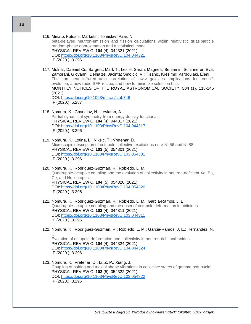| 117. Molnar, Daeniel Cs; Sargent, Mark T.; Leslie, Sarah; Magnelli, Benjamin; Schinnerer, Eva;<br>Zamorani, Giovanni; Delhaize, Jacinta; Smolčić, V.; Tisanić, Krešimir; Vardoulaki, Eleni<br>evolution, a new radio SFR recipe, and how to minimize selection bias<br>(2021)<br>DOI: https://doi.org/10.1093/mnras/stab746<br>IF (2020.): 5.287<br>118. Nomura, K.; Gavrielov, N.; Leviatan, A.<br>Partial dynamical symmetry from energy density functionals<br>PHYSICAL REVIEW C. 104 (4), 044317 (2021)<br>DOI: https://doi.org/10.1103/PhysRevC.104.044317<br>IF (2020.): 3.296<br>119. Nomura, K.; Lotina, L.; Nikšić, T.; Vretenar, D.<br>Microscopic description of octupole collective excitations near N=56 and N=88<br>PHYSICAL REVIEW C. 103 (5), 054301 (2021)<br>DOI: https://doi.org/10.1103/PhysRevC.103.054301<br>IF (2020.): 3.296<br>120. Nomura, K.; Rodriguez-Guzman, R.; Robledo, L. M.<br>Ce, and Nd isotopes<br>PHYSICAL REVIEW C. 104 (5), 054320 (2021)<br>DOI: https://doi.org/10.1103/PhysRevC.104.054320<br>IF (2020.): 3.296<br>121. Nomura, K.; Rodriguez-Guzman, R.; Robledo, L. M.; Garcia-Ramos, J. E.<br>Quadrupole-octupole coupling and the onset of octupole deformation in actinides<br>PHYSICAL REVIEW C. 103 (4), 044311 (2021)<br>DOI: https://doi.org/10.1103/PhysRevC.103.044311<br>IF (2020.): 3.296<br>122. Nomura, K.; Rodriguez-Guzman, R.; Robledo, L. M.; Garcia-Ramos, J. E.; Hernandez, N.<br>C.<br>Evolution of octupole deformation and collectivity in neutron-rich lanthanides<br>PHYSICAL REVIEW C. 104 (4), 044324 (2021)<br>DOI: https://doi.org/10.1103/PhysRevC.104.044324<br>IF (2020.): 3.296<br>123. Nomura, K.; Vretenar, D.; Li, Z. P.; Xiang, J.<br>Coupling of pairing and triaxial shape vibrations in collective states of gamma-soft nuclei<br>PHYSICAL REVIEW C. 103 (5), 054322 (2021)<br>DOI: https://doi.org/10.1103/PhysRevC.103.054322 | 116. Minato, Futoshi; Marketin, Tomislav; Paar, N.<br>beta-delayed neutron-emission and fission calculations within relativistic quasiparticle<br>random-phase approximation and a statistical model<br>PHYSICAL REVIEW C. 104 (4), 044321 (2021)<br>DOI: https://doi.org/10.1103/PhysRevC.104.044321<br>IF (2020.): 3.296 |
|---------------------------------------------------------------------------------------------------------------------------------------------------------------------------------------------------------------------------------------------------------------------------------------------------------------------------------------------------------------------------------------------------------------------------------------------------------------------------------------------------------------------------------------------------------------------------------------------------------------------------------------------------------------------------------------------------------------------------------------------------------------------------------------------------------------------------------------------------------------------------------------------------------------------------------------------------------------------------------------------------------------------------------------------------------------------------------------------------------------------------------------------------------------------------------------------------------------------------------------------------------------------------------------------------------------------------------------------------------------------------------------------------------------------------------------------------------------------------------------------------------------------------------------------------------------------------------------------------------------------------------------------------------------------------------------------------------------------------------------------------------------------------------------------------------------------------------------------------------------------------------------------------------------------|----------------------------------------------------------------------------------------------------------------------------------------------------------------------------------------------------------------------------------------------------------------------------------------------------------------------------|
|                                                                                                                                                                                                                                                                                                                                                                                                                                                                                                                                                                                                                                                                                                                                                                                                                                                                                                                                                                                                                                                                                                                                                                                                                                                                                                                                                                                                                                                                                                                                                                                                                                                                                                                                                                                                                                                                                                                     | The non-linear infrared-radio correlation of low-z galaxies: implications for redshift<br>MONTHLY NOTICES OF THE ROYAL ASTRONOMICAL SOCIETY. 504 (1), 118-145                                                                                                                                                              |
|                                                                                                                                                                                                                                                                                                                                                                                                                                                                                                                                                                                                                                                                                                                                                                                                                                                                                                                                                                                                                                                                                                                                                                                                                                                                                                                                                                                                                                                                                                                                                                                                                                                                                                                                                                                                                                                                                                                     |                                                                                                                                                                                                                                                                                                                            |
|                                                                                                                                                                                                                                                                                                                                                                                                                                                                                                                                                                                                                                                                                                                                                                                                                                                                                                                                                                                                                                                                                                                                                                                                                                                                                                                                                                                                                                                                                                                                                                                                                                                                                                                                                                                                                                                                                                                     |                                                                                                                                                                                                                                                                                                                            |
|                                                                                                                                                                                                                                                                                                                                                                                                                                                                                                                                                                                                                                                                                                                                                                                                                                                                                                                                                                                                                                                                                                                                                                                                                                                                                                                                                                                                                                                                                                                                                                                                                                                                                                                                                                                                                                                                                                                     | Quadrupole-octupole coupling and the evolution of collectivity in neutron-deficient Xe, Ba,                                                                                                                                                                                                                                |
|                                                                                                                                                                                                                                                                                                                                                                                                                                                                                                                                                                                                                                                                                                                                                                                                                                                                                                                                                                                                                                                                                                                                                                                                                                                                                                                                                                                                                                                                                                                                                                                                                                                                                                                                                                                                                                                                                                                     |                                                                                                                                                                                                                                                                                                                            |
|                                                                                                                                                                                                                                                                                                                                                                                                                                                                                                                                                                                                                                                                                                                                                                                                                                                                                                                                                                                                                                                                                                                                                                                                                                                                                                                                                                                                                                                                                                                                                                                                                                                                                                                                                                                                                                                                                                                     |                                                                                                                                                                                                                                                                                                                            |
|                                                                                                                                                                                                                                                                                                                                                                                                                                                                                                                                                                                                                                                                                                                                                                                                                                                                                                                                                                                                                                                                                                                                                                                                                                                                                                                                                                                                                                                                                                                                                                                                                                                                                                                                                                                                                                                                                                                     | IF (2020.): 3.296                                                                                                                                                                                                                                                                                                          |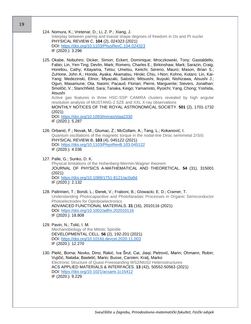124. Nomura, K.; Vretenar, D.; Li, Z. P.; Xiang, J. Interplay between pairing and triaxial shape degrees of freedom in Os and Pt nuclei PHYSICAL REVIEW C. **104** (2), 024323 (2021) DOI:<https://doi.org/10.1103/PhysRevC.104.024323> IF (2020.): 3.296

125. Okabe, Nobuhiro; Dicker, Simon; Eckert, Dominique; Mroczkowski, Tony; Gastaldello, Fabio; Lin, Yen-Ting; Devlin, Mark; Romero, Charles E.; Birkinshaw, Mark; Sarazin, Craig; Horellou, Cathy; Kitayama, Tetsu; Umetsu, Keiichi; Sereno, Mauro; Mason, Brian S.; ZuHone, John A.; Honda, Ayaka; Akamatsu, Hiroki; Chiu, I-Non; Kohno, Kotaro; Lin, Kai-Yang; Medezinski, Elinor; Miyazaki, Satoshi; Mitsuishi, Ikuyuki; Nishizawa, Atsushi J.; Oguri, Masamune; Ota, Naomi; Pacaud, Florian; Pierre, Marguerite; Sievers, Jonathan; Smolčić, V.; Stanchfield, Sara; Tanaka, Keigo; Yamamoto, Ryoichi; Yang, Chong; Yoshida, Atsushi

Active gas features in three HSC-SSP CAMIRA clusters revealed by high angular resolution analysis of MUSTANG-2 SZE and XXL X-ray observations

MONTHLY NOTICES OF THE ROYAL ASTRONOMICAL SOCIETY. **501** (2), 1701-1732 (2021)

DOI:<https://doi.org/10.1093/mnras/staa2330> IF (2020.): 5.287

- 126. Orbanić, F.; Novak, M.; Glumac, Z.; McCollam, A.; Tang, L.; Kokanović, I. Quantum oscillations of the magnetic torque in the nodal-line Dirac semimetal ZrSiS PHYSICAL REVIEW B. **103** (4), 045122 (2021) DOI:<https://doi.org/10.1103/PhysRevB.103.045122> IF (2020.): 4.036
- 127. Palle, G.; Sunko, D. K. Physical limitations of the Hohenberg-Mermin-Wagner theorem JOURNAL OF PHYSICS A-MATHEMATICAL AND THEORETICAL. **54** (31), 315001 (2021) DOI:<https://doi.org/10.1088/1751-8121/ac0a9d> IF (2020.): 2.132
- 128. Paltrinieri, T.; Bondi, L.; Đerek, V.; Fraboni, B.; Glowacki, E. D.; Cramer, T. Understanding Photocapacitive and Photofaradaic Processes in Organic Semiconductor Photoelectrodes for Optobioelectronics ADVANCED FUNCTIONAL MATERIALS. **31** (16), 2010116 (2021) DOI:<https://doi.org/10.1002/adfm.202010116> IF (2020.): 18.808
- 129. Pavin, N.; Tolić, I. M. Mechanobiology of the Mitotic Spindle DEVELOPMENTAL CELL. **56** (2), 192-201 (2021) DOI:<https://doi.org/10.1016/j.devcel.2020.11.003> IF (2020.): 12.270
- 130. Pielić, Borna; Novko, Dino; Rakić, Iva Šrut; Cai, Jiaqi; Petrović, Marin; Ohmann, Robin; Vujičić, Nataša; Basletić, Mario; Busse, Carsten; Kralj, Marko Electronic Structure of Quasi-Freestanding WS2/MoS2 Heterostructures ACS APPLIED MATERIALS & INTERFACES. **13** (42), 50552-50563 (2021) DOI:<https://doi.org/10.1021/acsami.1c15412> IF (2020.): 9.229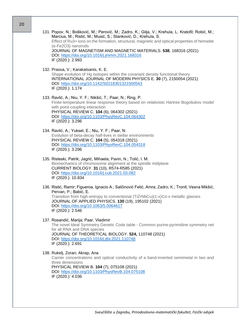|  | 131. Popov, N.; Bošković, M.; Perović, M.; Zadro, K.; Gilja, V.; Krehula, L. Kratofil; Robić, M.;<br>Marcius, M.; Ristić, M.; Musić, S.; Stanković, D.; Krehula, S.<br>Effect of Ru3+ ions on the formation, structural, magnetic and optical properties of hematite<br>(a-Fe2O3) nanorods<br>JOURNAL OF MAGNETISM AND MAGNETIC MATERIALS. 538, 168316 (2021)<br>DOI: https://doi.org/10.1016/j.jmmm.2021.168316<br>IF (2020.): 2.993 |
|--|---------------------------------------------------------------------------------------------------------------------------------------------------------------------------------------------------------------------------------------------------------------------------------------------------------------------------------------------------------------------------------------------------------------------------------------|
|  | 132. Prassa, V.; Karakatsanis, K. E.<br>Shape evolution of Hg isotopes within the covariant density functional theory<br>INTERNATIONAL JOURNAL OF MODERN PHYSICS E. 30 (7), 2150054 (2021)<br>DOI: https://doi.org/10.1142/S0218301321500543<br>IF (2020.): 1.174                                                                                                                                                                     |
|  | 133. Ravlić, A.; Niu, Y. F.; Nikšić, T.; Paar, N.; Ring, P.<br>Finite-temperature linear response theory based on relativistic Hartree Bogoliubov model<br>with point-coupling interaction<br>PHYSICAL REVIEW C. 104 (6), 064302 (2021)<br>DOI: https://doi.org/10.1103/PhysRevC.104.064302<br>IF (2020.): 3.296                                                                                                                      |
|  | 134. Ravlić, A.; Yuksel, E.; Niu, Y. F.; Paar, N.<br>Evolution of beta-decay half-lives in stellar environments<br>PHYSICAL REVIEW C. 104 (5), 054318 (2021)<br>DOI: https://doi.org/10.1103/PhysRevC.104.054318<br>IF (2020.): 3.296                                                                                                                                                                                                 |
|  | 135. Risteski, Patrik; Jagrić, Mihaela; Pavin, N.; Tolić, I. M.<br>Biomechanics of chromosome alignment at the spindle midplane<br>CURRENT BIOLOGY. 31 (10), R574-R585 (2021)<br>DOI: https://doi.org/10.1016/j.cub.2021.03.082<br>IF (2020.): 10.834                                                                                                                                                                                 |
|  | 136. Ristić, Ramir; Figueroa, Ignacio A.; Salčinović Fetić, Amra; Zadro, K.; Trontl, Vesna Mikšić;<br>Pervan, P.; Babić, E.<br>Transition from high-entropy to conventional (TiZrNbCu)(1-x)Co-x metallic glasses<br>JOURNAL OF APPLIED PHYSICS. 130 (19), 195102 (2021)<br>DOI: https://doi.org/10.1063/5.0064617<br>IF (2020.): 2.546                                                                                                |
|  | 137. Rosandić, Marija; Paar, Vladimir<br>The novel Ideal Symmetry Genetic Code table - Common purine-pyrimidine symmetry net<br>for all RNA and DNA species<br>JOURNAL OF THEORETICAL BIOLOGY. 524, 110748 (2021)<br>DOI: https://doi.org/10.1016/j.jtbi.2021.110748<br>IF (2020.): 2.691                                                                                                                                             |
|  | 138. Rukelj, Zoran; Akrap, Ana<br>Carrier concentrations and optical conductivity of a band-inverted semimetal in two and<br>three dimensions<br>PHYSICAL REVIEW B. 104 (7), 075108 (2021)<br>DOI: https://doi.org/10.1103/PhysRevB.104.075108<br>IF (2020.): 4.036                                                                                                                                                                   |
|  |                                                                                                                                                                                                                                                                                                                                                                                                                                       |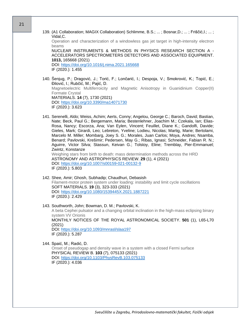139. (A1 Collaboration; MAGIX Collaboration) Schlimme, B.S.; ... ; Bosnar,D.; ... ; Friščić,I.; ... ; Vidal,C.

Operation and characterization of a windowless gas jet target in high-intensity electron beams

NUCLEAR INSTRUMENTS & METHODS IN PHYSICS RESEARCH SECTION A - ACCELERATORS SPECTROMETERS DETECTORS AND ASSOCIATED EQUIPMENT. **1013,** 165668 (2021) DOI:<https://doi.org/10.1016/j.nima.2021.165668>

IF (2020.): 1.455

- 140. Šenjug, P.; Dragović, J.; Torić, F.; Lončarić, I.; Despoja, V.; Smokrović, K.; Topić, E.; Đilović, I.; Rubčić, M.; Pajić, D. Magnetoelectric Multiferroicity and Magnetic Anisotropy in Guanidinium Copper(II) Formate Crystal MATERIALS. **14** (7), 1730 (2021) DOI:<https://doi.org/10.3390/ma14071730> IF (2020.): 3.623
- 141. Serenelli, Aldo; Weiss, Achim; Aerts, Conny; Angelou, George C.; Baroch, David; Bastian, Nate; Beck, Paul G.; Bergemann, Maria; Bestenlehner, Joachim M.; Czekala, Ian; Elias-Rosa, Nancy; Escorza, Ana; Van Eylen, Vincent; Feuillet, Diane K.; Gandolfi, Davide; Gieles, Mark; Girardi, Leo; Lebreton, Yveline; Lodieu, Nicolas; Martig, Marie; Bertolami, Marcelo M. Miller; Mombarg, Joey S. G.; Morales, Juan Carlos; Moya, Andres; Nsamba, Benard; Pavlovski, Krešimir; Pedersen, May G.; Ribas, Ignasi; Schneider, Fabian R. N.; Aguirre, Victor Silva; Stassun, Keivan G.; Tolstoy, Eline; Tremblay, Pier-Emmanuel; Zwintz, Konstanze Weighing stars from birth to death: mass determination methods across the HRD

ASTRONOMY AND ASTROPHYSICS REVIEW. **29** (1), 4 (2021) DOI:<https://doi.org/10.1007/s00159-021-00132-9> IF (2020.): 5.803

- 142. Shee, Amir; Ghosh, Subhadip; Chaudhuri, Debasish Filament-motor protein system under loading: instability and limit cycle oscillations SOFT MATERIALS. **19** (3), 323-333 (2021) DOI:<https://doi.org/10.1080/1539445X.2021.1887221> IF (2020.): 2.429
- 143. Southworth, John; Bowman, D. M.; Pavlovski, K. A beta Cephei pulsator and a changing orbital inclination in the high-mass eclipsing binary system VV Orionis MONTHLY NOTICES OF THE ROYAL ASTRONOMICAL SOCIETY. **501** (1), L65-L70 (2021) DOI:<https://doi.org/10.1093/mnrasl/slaa197> IF (2020.): 5.287
- 144. Spaić, M.; Radić, D.

Onset of pseudogap and density wave in a system with a closed Fermi surface PHYSICAL REVIEW B. **103** (7), 075133 (2021) DOI:<https://doi.org/10.1103/PhysRevB.103.075133> IF (2020.): 4.036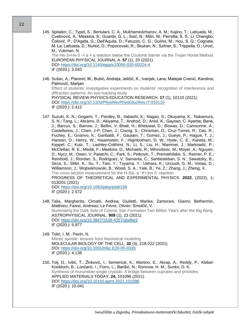145. Spitaleri, C.; Typel, S.; Bertulani, C. A.; Mukhamedzhanov, A. M.; Kajino, T.; Lattuada, M.; Cvetinović, A.; Messina, S.; Guardo, G. L.; Soić, N.; Milin, M.; Perrotta, S. S.; Li, Chengbo; Čolović, P.; D'Agata, G.; Dell'Aquila, D.; Fatuzzo, C. G.; Gulino, M.; Hou, S. Q.; Cognata, M. La; Lattuada, D.; Nurkić, D.; Popocovski, R.; Skukan, N.; Szilner, S.; Trippella, O.; Uroić, M.; Vukman, N. The He-3+He-5 ->  $\alpha$  +  $\alpha$  reaction below the Coulomb barrier via the Trojan Horse Method EUROPEAN PHYSICAL JOURNAL A. **57** (1), 20 (2021) DOI:<https://doi.org/10.1140/epja/s10050-020-00324-4>

IF (2020.): 3.043

146. Sušac, A.; Planinić, M.; Bubić, Andreja; Jeličić, K.; Ivanjek, Lana; Matejak Cvenić, Karolina; Palmović, Marijan Effect of students' investigative experiments on students' recognition of interference and diffraction patterns: An eye-tracking study

PHYSICAL REVIEW PHYSICS EDUCATION RESEARCH. **17** (1), 10110 (2021) DOI:<https://doi.org/10.1103/PhysRevPhysEducRes.I7.010110> IF (2020.): 2.412

- 147. Suzuki, K. N.; Gogami, T.; Pandey, B.; Itabashi, K.; Nagao, S.; Okuyama, K.; Nakamura, S. N.; Tang, L.; Abrams, D.; Akiyama, T.; Androić, D.; Aniol, K.; Gayoso, C. Ayerbe; Bane, J.; Barcus, S.; Barrow, J.; Bellini, V; Bhatt, H.; Bhetuwal, D.; Biswas, D.; Camsonne, A.; Castellanos, J.; Chen, J-P; Chen, J.; Covrig, S.; Chrisman, D.; Cruz-Torres, R.; Das, R.; Fuchey, E.; Gnanvo, K.; Garibaldi, F.; Gautam, T.; Gomez, J.; Gueye, P.; Hague, T. J.; Hansen, O.; Henry, W.; Hauenstein, F.; Higinbotham, D. W.; Hyde, C. E.; Kaneta, M.; Keppel, C.; Kutz, T.; Lashley-Colthirst, N.; Li, S.; Liu, H.; Mammei, J.; Markowitz, P.; McClellan, R. E.; Meddi, F.; Meekins, D.; Michaels, R.; Mihovilovic, M.; Moyer, A.; Nguyen, D.; Nycz, M.; Owen, V; Palatchi, C.; Park, S.; Petkovic, T.; Premathilake, S.; Reimer, P. E.; Reinhold, J.; Riordan, S.; Rodriguez, V; Samanta, C.; Santiesteban, S. N.; Sawatzky, B.; Sirca, S.; Slifer, K.; Su, T.; Tian, Y.; Toyama, Y.; Uehara, K.; Urciuoli, G. M.; Votaw, D.; Williamson, J.; Wojtsekhowski, B.; Wood, S. A.; Yale, B.; Ye, Z.; Zhang, J.; Zheng, X. The cross-section measurement for the H-3(e, e ' K+)nn Λ reaction PROGRESS OF THEORETICAL AND EXPERIMENTAL PHYSICS. **2022**, (2022), 1; 013D01 (2021) DOI:<https://doi.org/10.1093/ptep/ptab158> IF (2020.): 2.572
- 148. Talia, Margherita; Cimatti, Andrea; Giulietti, Marika; Zamorani, Gianni; Bethermin, Matthieu; Faisst, Andreas; Le Fevre, Olivier; Smolčić, V. Illuminating the Dark Side of Cosmic Star Formation Two Billion Years after the Big Bang ASTROPHYSICAL JOURNAL. **909** (1), 23 (2021) DOI:<https://doi.org/10.3847/1538-4357/abd6e3> IF (2020.): 5.877
- 149. Tolić, I. M.; Pavin, N. Mitotic spindle: lessons from theoretical modeling MOLECULAR BIOLOGY OF THE CELL. **32** (3), 218-222 (2021) DOI:<https://doi.org/10.1091/mbc.E20-05-0335> IF (2020.): 4.138
- 150. Tolj, D.; Ivšić, T.; Živković, I.; Semeniuk, K.; Martino, E.; Akrap, A.; Reddy, P.; Klebel-Knobloch, B.; Lončarić, I.; Forro, L.; Barišić, N.; Ronnow, H. M.; Sunko, D. K. Synthesis of murunskite single crystals: A bridge between cuprates and pnictides APPLIED MATERIALS TODAY. **24,** 101096 (2021) DOI:<https://doi.org/10.1016/j.apmt.2021.101096> IF (2020.): 10.041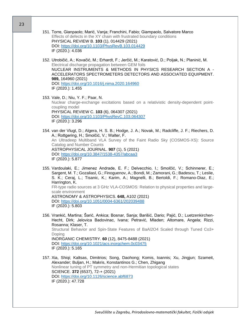| 151. Torre, Gianpaolo; Marić, Vanja; Franchini, Fabio; Giampaolo, Salvatore Marco<br>Effects of defects in the XY chain with frustrated boundary conditions<br>PHYSICAL REVIEW B. 103 (1), 014429 (2021)<br>DOI: https://doi.org/10.1103/PhysRevB.103.014429<br>IF (2020.): 4.036                                                                                                                                                                                                                                                          |
|--------------------------------------------------------------------------------------------------------------------------------------------------------------------------------------------------------------------------------------------------------------------------------------------------------------------------------------------------------------------------------------------------------------------------------------------------------------------------------------------------------------------------------------------|
| 152. Utrobičić, A.; Kovačić, M.; Erhardt, F.; Jerčić, M.; Karatović, D.; Poljak, N.; Planinić, M.<br>Electrical discharge propagation between GEM foils<br>NUCLEAR INSTRUMENTS & METHODS IN PHYSICS RESEARCH SECTION A -<br>ACCELERATORS SPECTROMETERS DETECTORS AND ASSOCIATED EQUIPMENT.<br>989, 164960 (2021)<br>DOI: https://doi.org/10.1016/j.nima.2020.164960<br>IF (2020.): 1.455                                                                                                                                                   |
| 153. Vale, D.; Niu, Y. F.; Paar, N.<br>Nuclear charge-exchange excitations based on a relativistic density-dependent point-<br>coupling model<br>PHYSICAL REVIEW C. 103 (6), 064307 (2021)<br>DOI: https://doi.org/10.1103/PhysRevC.103.064307<br>IF (2020.): 3.296                                                                                                                                                                                                                                                                        |
| 154. van der Vlugt, D.; Algera, H. S. B.; Hodge, J. A.; Novak, M.; Radcliffe, J. F.; Riechers, D.<br>A.; Rottgering, H.; Smolčić, V.; Walter, F.<br>An Ultradeep Multiband VLA Survey of the Faint Radio Sky (COSMOS-XS): Source<br><b>Catalog and Number Counts</b><br>ASTROPHYSICAL JOURNAL. 907 (1), 5 (2021)<br>DOI: https://doi.org/10.3847/1538-4357/abcaa3<br>IF (2020.): 5.877                                                                                                                                                     |
| 155. Vardoulaki, E.; Jimenez Andrade, E. F.; Delvecchio, I.; Smolčić, V.; Schinnerer, E.;<br>Sargent, M. T.; Gozaliasl, G.; Finoguenov, A.; Bondi, M.; Zamorani, G.; Badescu, T.; Leslie,<br>S. K.; Ceraj, L.; Tisanic, K.; Karim, A.; Magnelli, B.; Bertoldi, F.; Romano-Diaz, E.;<br>Harrington, K.<br>FR-type radio sources at 3 GHz VLA-COSMOS: Relation to physical properties and large-<br>scale environment<br>ASTRONOMY & ASTROPHYSICS. 648, A102 (2021)<br>DOI: https://doi.org/10.1051/0004-6361/202039488<br>IF (2020.): 5.803 |
| 156. Vrankić, Martina; Šarić, Ankica; Bosnar, Sanja; Barišić, Dario; Pajić, D.; Luetzenkirchen-<br>Hecht, Dirk; Jelovica Badovinac, Ivana; Petravić, Mladen; Altomare, Angela; Rizzi,<br>Rosanna; Klaser, T.<br>Structural Behavior and Spin-State Features of BaAl2O4 Scaled through Tuned Co3+<br>Doping<br>INORGANIC CHEMISTRY. 60 (12), 8475-8488 (2021)<br>DOI: https://doi.org/10.1021/acs.inorgchem.0c03475<br>IF (2020.): 5.165                                                                                                    |
| 157. Xia, Shiqi; Kaltsas, Dimitrios; Song, Daohong; Komis, Ioannis; Xu, Jingjun; Szameit,<br>Alexander; Buljan, H.; Makris, Konstantinos G.; Chen, Zhigang<br>Nonlinear tuning of PT symmetry and non-Hermitian topological states<br>SCIENCE. 372 (6537), 72-+ (2021)<br>DOI: https://doi.org/10.1126/science.abf6873<br>IF (2020.): 47.728                                                                                                                                                                                               |